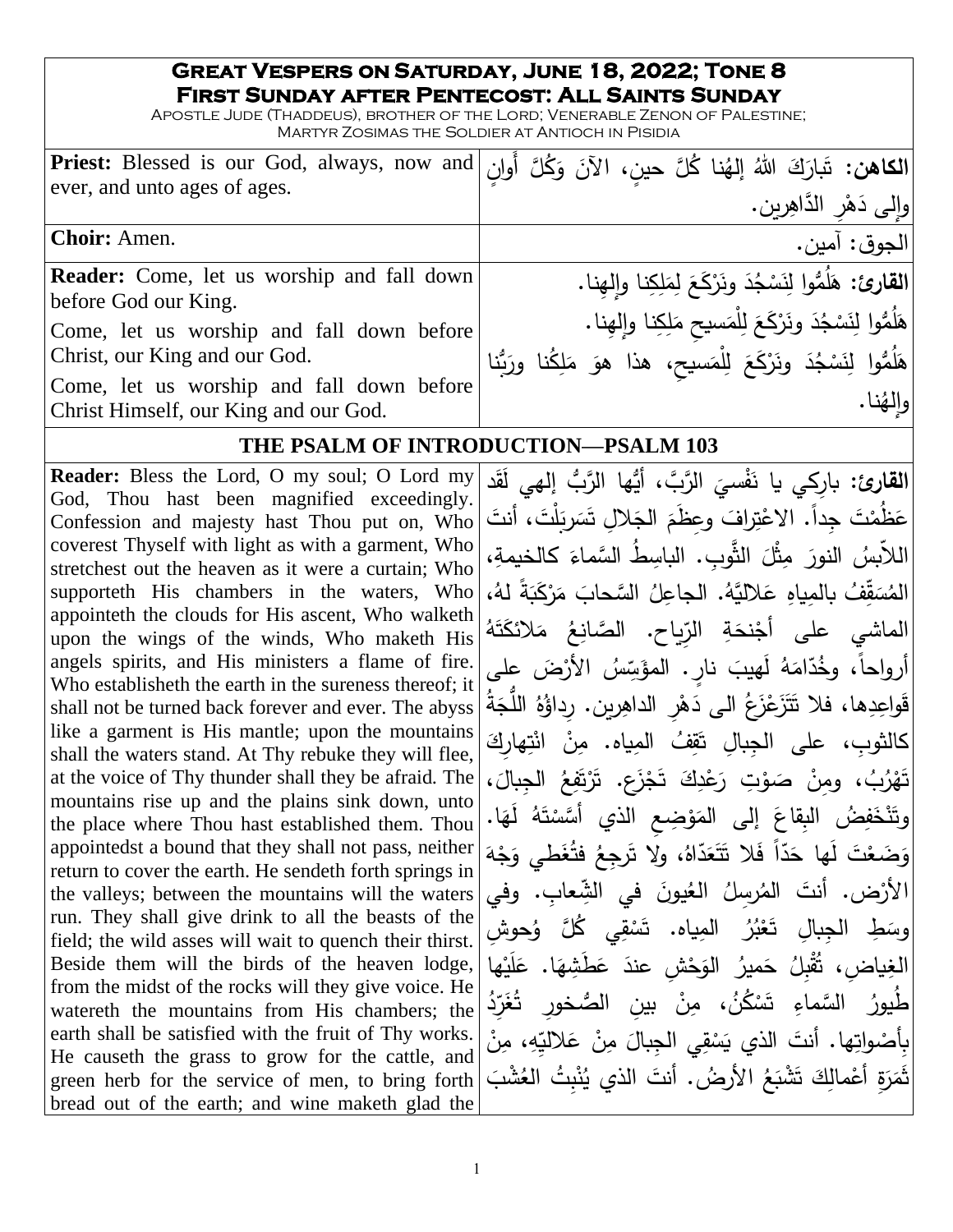#### **Great Vespers on Saturday, June 18, 2022; Tone 8 First Sunday after Pentecost: All Saints Sunday**

Apostle Jude (Thaddeus), brother of the Lord; Venerable Zenon of Palestine; Martyr Zosimas the Soldier at Antioch in Pisidia

| الكاهن: تَبارَكَ اللهُ إلهُنا كُلَّ حين، الآنَ وَكُلَّ أَوانٍ Priest: Blessed is our God, always, now and <br>ever, and unto ages of ages. |                                                                     |
|--------------------------------------------------------------------------------------------------------------------------------------------|---------------------------------------------------------------------|
|                                                                                                                                            | وإلى دَهْرِ الدَّاهِرِينِ.                                          |
| <b>Choir:</b> Amen.                                                                                                                        | الجوق: آمين.                                                        |
| <b>Reader:</b> Come, let us worship and fall down                                                                                          | القارئ: هَلُمُّوا لِنَسْجُدَ ونَرْكَعَ لِمَلِكِنا والهِنا.          |
| before God our King.                                                                                                                       | هَلُمُّوا لِنَسْجُدَ ونَرْكَعَ لِلْمَسيحِ مَلِكِنا وإِلهِنا.        |
| Come, let us worship and fall down before<br>Christ, our King and our God.                                                                 |                                                                     |
| Come, let us worship and fall down before                                                                                                  | هَلُمُّوا لِنَسْجُدَ ونَرْكَعَ لِلْمَسيح، هذا هوَ مَلِكُنا ورَبُّنا |
| Christ Himself, our King and our God.                                                                                                      | والهُنا.                                                            |

### **THE PSALM OF INTRODUCTION—PSALM 103**

تَهْزُبُ، ومِنْ صَوْتِ رَعْدِكَ تَجْزَع. تَرْتَفِعُ الْجِبالَ، at the voice of Thy thunder shall they be afraid. The<br>mountains rise up and the plains sink down unto **Reader:** Bless the Lord, O my soul; O Lord my God, Thou hast been magnified exceedingly. Confession and majesty hast Thou put on, Who coverest Thyself with light as with a garment, Who stretchest out the heaven as it were a curtain; Who supporteth His chambers in the waters, Who appointeth the clouds for His ascent, Who walketh upon the wings of the winds, Who maketh His angels spirits, and His ministers a flame of fire. Who establisheth the earth in the sureness thereof; it shall not be turned back forever and ever. The abyss like a garment is His mantle; upon the mountains shall the waters stand. At Thy rebuke they will flee, mountains rise up and the plains sink down, unto the place where Thou hast established them. Thou appointedst a bound that they shall not pass, neither return to cover the earth. He sendeth forth springs in the valleys; between the mountains will the waters run. They shall give drink to all the beasts of the field; the wild asses will wait to quench their thirst. Beside them will the birds of the heaven lodge, from the midst of the rocks will they give voice. He watereth the mountains from His chambers; the earth shall be satisfied with the fruit of Thy works. He causeth the grass to grow for the cattle, and green herb for the service of men, to bring forth bread out of the earth; and wine maketh glad the

ا**لقارئ:** بارِكي يا نَفْسيَ الرَّبَّ، أَيُّها الرَّبُّ إلهي لَقَد .<br>م .<br>. ا<br>ا عَظُمْتَ جِداً. الإعْتِرافَ وعِظَمَ الجَلالِ تَسَرِبَلْتَ، أنتَ  $\mathfrak{r}$ **َابِ** ـ<br>. مُ ْ اللاَّبِسُ النورَ مِثْلَ الثَّوبِ. الباسِطُ السَّماءَ كالخيمةِ،<br>-َ  $\overline{a}$ المُسَقِّفُ بالمِياهِ عَلاليَّهُ. الجاعِلُ السَّحابَ مَرْكَبَةً لهُ،<br>· َ َ .<br>ب ً<br>ً **∶** الماشي على أَجْنحَةِ الزِّياحِ. الصَّانِعُ مَلائكَتَهُ<br>ْ شَهُ ت َ َالئك م َ **:** بِّسُ الأَرْضَ على أرواحاً، وخُدّامَهُ لَهيبَ نارٍ . المؤسِّد<br>ِ **∶** ا<br>۔ قَواعِدِها، فلا تَتَزَعْزَعُ الى دَهْرِ الداهِرين. رِداؤُهُ اللَّجَةُ َ ُ<br>ف .<br>ا كالثوبِ، على الجِبالِ تَقِفُ المِياه. مِنْ انْتِهارِكَ <u>ا</u> .<br>-<u>آ</u> ْ ْ َ  $\overline{\phantom{a}}$ َ .<br>ا َ ضُ البِقاعَ إلى المَوْضِعِ الذي أَسَّسْتَهُ لَهَا.  $\epsilon$ ْ ؛<br>' َ َ .<br>یک ف َ ن<br>نخا ن ֺ<u>֚</u>֡֘ وت َ وَضَعْتَ لَها حَدّاً فَلا تَتَعَدّاهُ، ولا تَرجِعُ فِتُغَطي وَجْهَ **:** َ َ َ َ ُض. أنتَ المُرسِلُ العُيونَ في الشِّعابِ. وفي .<br>-الأزد وسَطِ الجِبالِ تَعْبُرُ المِياه. تَسْقِي كُُلَّ وُحوشِ<br>\*\*\* ْ ْ طِ الْجِبالِ تَ ـ<br>ـ ُ و<br>وچ ها **ٔ** َي ل ء<br>. ا. ع  $\triangleleft$ َطِشه <u>م</u> ياض*ِ ،* تُقْبِلُ حَميرُ الوَحْشِ عندَ عَ<br>مُمين ـ<br>أ َ َ .<br>م الغِ ٞ<br>**ُغَرِّدُ** الصُّخور السَّماءِ تَسْكُنُ، مِنْ بينِ الصُّ <u>:</u> ْ .<br>م طيورُ <u>:</u> بِأَصْواتِها. أنتَ الذي يَسْقِي الجِبالَ مِنْ عَلاليِّهِ، مِنْ  $\overline{\phantom{a}}$ ْ **∶** ثَمَرَةِ أَعْمالِكَ تَشْبَعُ الأَرضُ. أنتَ الذي يُنْبِتُ الغُشْبَ <u>َ</u> ؘ<br>֞ ْ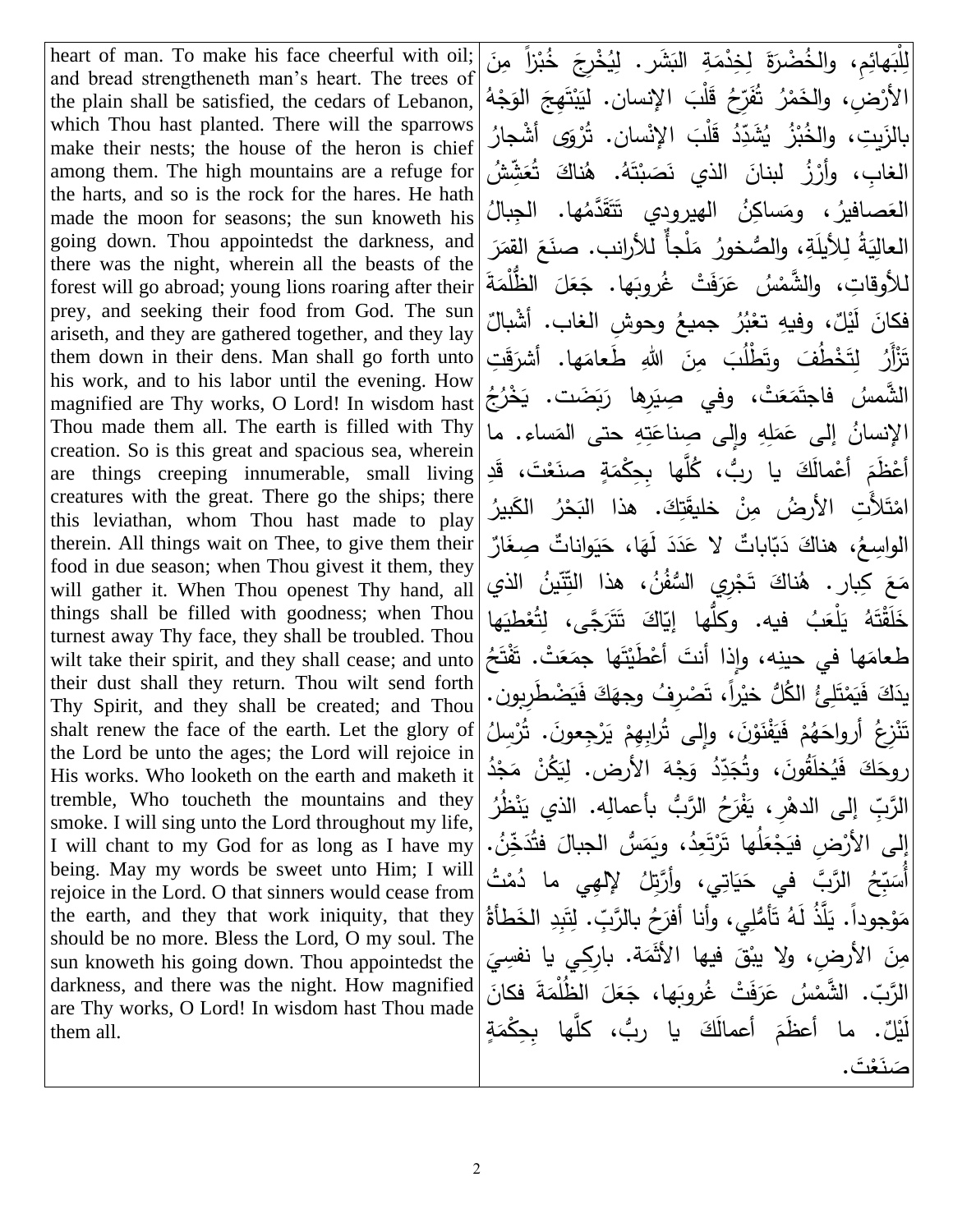heart of man. To make his face cheerful with oil; and bread strengtheneth man's heart. The trees of the plain shall be satisfied, the cedars of Lebanon, which Thou hast planted. There will the sparrows make their nests; the house of the heron is chief among them. The high mountains are a refuge for the harts, and so is the rock for the hares. He hath made the moon for seasons; the sun knoweth his going down. Thou appointedst the darkness, and there was the night, wherein all the beasts of the forest will go abroad; young lions roaring after their prey, and seeking their food from God. The sun ariseth, and they are gathered together, and they lay them down in their dens. Man shall go forth unto his work, and to his labor until the evening. How magnified are Thy works, O Lord! In wisdom hast Thou made them all. The earth is filled with Thy creation. So is this great and spacious sea, wherein are things creeping innumerable, small living creatures with the great. There go the ships; there this leviathan, whom Thou hast made to play therein. All things wait on Thee, to give them their food in due season; when Thou givest it them, they will gather it. When Thou openest Thy hand, all things shall be filled with goodness; when Thou turnest away Thy face, they shall be troubled. Thou wilt take their spirit, and they shall cease; and unto their dust shall they return. Thou wilt send forth Thy Spirit, and they shall be created; and Thou shalt renew the face of the earth. Let the glory of the Lord be unto the ages; the Lord will rejoice in His works. Who looketh on the earth and maketh it tremble, Who toucheth the mountains and they smoke. I will sing unto the Lord throughout my life, I will chant to my God for as long as I have my being. May my words be sweet unto Him; I will rejoice in the Lord. O that sinners would cease from the earth, and they that work iniquity, that they should be no more. Bless the Lord, O my soul. The sun knoweth his going down. Thou appointedst the darkness, and there was the night. How magnified are Thy works, O Lord! In wisdom hast Thou made them all.

لِلْبَهائِمِ، والخُضْرَةَ لِخِدْمَةِ النَشَرِ. لِيُخْرِجَ خُبْرْاً مِنَ .<br>ا ْ .<br>ا ا<br>. **ٔ** َ الأَرْضِ، والخَمْرُ ۖ ثُفَرِّحُ قَلْبَ الإِنسانِ. لِيَبْتَهِجَ الوَجْهُ **:** َ  $\ddot{\cdot}$ َ ْ َبا **:** ٔ<br>ّ .<br>ب دِّدُ قَلْبَ الإِنْسانِ. تُرْوَى أشْجارُ .<br>أ **:** بالزَيتِ، والخُبْزُ يُشَدِّ الغابِ، وأرْزُ لبنانَ الذي نَصَبْتَهُ. هُناكَ تُعَشِّشُ َ .<br>نا <u>َ</u> َ .<br>-العَصافيرُ ، ومَساكِنُ الهيرودِي تَتَقَدَّمُها. الجِبالُ<br>مُسمُمَّةَ ة<br>م َ اَبْدِ ً<br>ٌ .<br>م العالِيَةُ لِلأَيلَةِ، والصُّخورُ مَلْجأٌ للأرانب. صنَعَ القِمَرَ ا<br>ا  $\zeta$ ً<br>ً للأوقاتِ، والشَّمْسُ عَرَفَتْ غُروبَها. جَعَلَ الظُّلْمَةَ ا<br>ا  $\overline{a}$ َ  $\ddot{\phantom{0}}$  $\ddot{\phantom{0}}$ َ فكانَ لَيْلٌ، وفيهِ تعْبُرُ جميعُ وحوشِ الغاب. أشْبالٌ<br>وَيَمْ ْ **∶** تَزْأَرُ لِتَخْطُفَ وتَطْلُبَ مِنَ اللهِ طَعامَها. أشرَقَتِ <u>بَ</u> َ َ ا<br>ا الشَّمسُ فاجتَمَعَتْ، وفي صِيَرِها رَبَضَت. يَخْرُجُ َ .<br>پا ا<br>ا الإنسانُ إلى عَمَلِهِ وإِلى صِناعَتِهِ حتى المَساء. ما ا<br>ا <u>ء</u> ا<br>ا <u>م</u> أَعْظَمَ أَعْمالَكَ يا ربُّ، كُلَّها بِحِكْمَةٍ صنَعْتَ، قَدِ ْ <u>م</u> ا<br>ا امْتَلأَّتِ الأرضُ مِنْ خليقَتِكَ. هذا البَحْرُ الكَبيرُ َ َ .<br>م ْ الواسِعُ، هناكَ دَبّاباتٌ لا عَدَدَ لَهَا، حَيَواناتٌ صِغَارٌ َ .<br>با َ  $\epsilon$ .<br>. .<br>-<u>ء</u>  $\ddot{ }$ مَعَ كِبارٍ. هُناكَ تَجْرِي السُّفُنُ، هذا التِّنِّينُ الذي<br>مَعَاجَمَةٍ **ٔ** .<br>ا خَلَقْتَهُ يَلْعَبُ فيه. وكلَّها إِيَّاكَ تَتَرَجَّى، لِتُعْطيَها ٔ. َ <u>َ</u> .<br>ا طعامَها في حينِه، وإذا أنتَ أعْطَيْتَها جمَعَتْ. تَفْتَحُ .<br>م <u>ً</u> ا<br>ا ْ ْ يدَكَ فَيَمْتَلِئُ الكُلُّ خيْراً، تَصْرِفُ وجهَكَ فَيَضْطَرِبِون.<br>مصدقة ا<br>ا <u>ہ</u> َ <u>َ</u> **ٔ** تَنْزِعُ أَرواحَهُمْ فَيَفْنَوْنَ، وإِلَى تُرابِهِمْ يَرْجِعونَ. تُرْسِلُ .<br>ا .<br>-.<br>ب ْ .<br>-ْ <u>ة</u> <u>َ</u> <u>ہ</u> ْ ا<br>ا دِّدُ وَجْهَ الأَرض. لِيَكُنْ مَجْدُ **ٔ** ا<br>ا .<br>ا َ **:** َ روحَكَ فَيُخلَقُونَ، وثُجَدِّ َ .<br>-بِّ إِلى الدهْرِ ، يَفْرَحُ الرَّبُّ بأعمالِه. الذي يَنْظُرُ َبا<br>ا <u>َ</u> ُ<br>ف الرَّبِّ إِلى الأَرْضِ فيَجْعَلُها تَرْتَعِدُ، ويَمَسُّ الجبالَ فَتُدَخِّنُ.<br>و .<br>ب َ **ٔ**  $\overline{\phantom{a}}$ ا<br>ا ـَـا<br>أ .<br>ب أُسَبِّحُ الرَّبَّ في حَيَاتِي، وأَرَّتِلُ لإلهِي ما دُمْتُ<br>أُسَبِّحُ الرَّسَّمُ يَجْمَعُونَ مَعْمَدًا  $\ddot{ }$ َ مَوْجوداً. يَلَّذُ لَهُ تَأْمُّلِي، وأنا أفرَحُ بالرَّبِّ. لِتَبِدِ الخَطأةُ <u>بَ</u> <u>َ</u> ْ .<br>: مِنَ الأرضِ، ولا يبْقَ فيها الأَثْمَة. بارِكِي يا نفسِيَ ً<br>ً  $\overline{\phantom{a}}$ الرَّبّ. الشَّمْسُ عَرَفَتْ غُروبَها، جَعَلَ الظُلْمَةَ فكانَ<br>ـ .<br>ا ا<br>ا  $\overline{a}$ َ ֺ֚֚֚֚֚֚֚֚֚֚֚֚֚֚֚֚֚֚֚֝֘֩֩֩֩ **:** .<br>م . ما أعظَمَ أعمالَكَ يا ربُّ، كلَّها بِحِكْمَةٍ ا<br>ا َ مُ ليُلُّ<br>يا صَ<mark>نَعْتَ .</mark>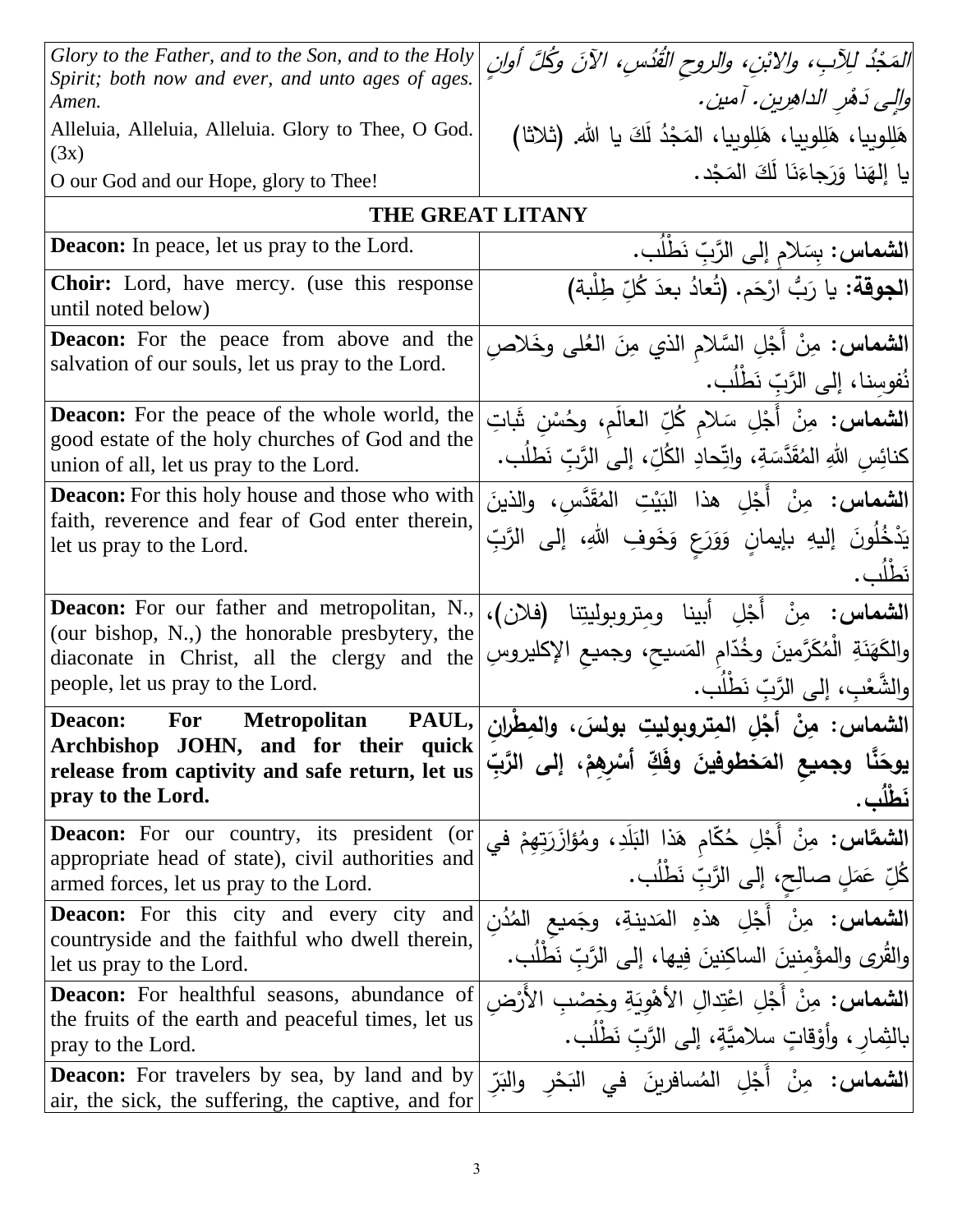| Glory to the Father, and to the Son, and to the Holy                                                      | المَجْدُ لِلِآبِ، والابْنِ، والروح القُدُسِ، الآنَ وكُلَّ أُولِنَ                                                         |
|-----------------------------------------------------------------------------------------------------------|---------------------------------------------------------------------------------------------------------------------------|
| Spirit; both now and ever, and unto ages of ages.                                                         |                                                                                                                           |
| Amen.                                                                                                     | والِي دَهْرِ الداهِرينِ . آمينِ .                                                                                         |
| Alleluia, Alleluia, Alleluia. Glory to Thee, O God.<br>(3x)                                               | هَلِلوبِيا، هَلِلوبِيا، هَلِلوبِيا، المَجْدُ لَكَ يا الله. (ثلاثا)                                                        |
| O our God and our Hope, glory to Thee!                                                                    | يا إلهَنا وَرَجاءَنَا لَكَ المَجْد.                                                                                       |
| <b>THE GREAT LITANY</b>                                                                                   |                                                                                                                           |
| <b>Deacon:</b> In peace, let us pray to the Lord.                                                         | الشماس: بِسَلام إلى الرَّبِّ نَطْلُب.                                                                                     |
| <b>Choir:</b> Lord, have mercy. (use this response<br>until noted below)                                  | الجوقة: يا رَبُّ ارْحَم. (تُعادُ بعدَ كُلِّ طِلْبة)                                                                       |
| <b>Deacon:</b> For the peace from above and the                                                           | ا <b>لشماس:</b> مِنْ أَجْلِ السَّلامِ الذي مِنَ العُلي وخَلاصِ                                                            |
| salvation of our souls, let us pray to the Lord.                                                          | نُفوسنا، إلى الرَّبّ نَطْلُب.                                                                                             |
| <b>Deacon:</b> For the peace of the whole world, the                                                      | الشماس: مِنْ أَجْلِ سَلامٍ كُلِّ العالَمِ، وحُسْنِ ثَبَاتِ                                                                |
| good estate of the holy churches of God and the<br>union of all, let us pray to the Lord.                 | كنائِس اللهِ المُقَدَّسَةِ، واتِّحادِ الكُلِّ، إلى الرَّبِّ نَطلُب.                                                       |
| <b>Deacon:</b> For this holy house and those who with                                                     | <b>الشماس:</b> مِنْ أَجْلِ هذا البَيْتِ المُقَدَّسِ، والذينَ                                                              |
| faith, reverence and fear of God enter therein,<br>let us pray to the Lord.                               | يَدْخُلُونَ إليهِ بإيمانٍ وَوَرَعٍ وَخَوفِ اللهِ، إلى الرَّبِّ                                                            |
|                                                                                                           | نَطلُب.                                                                                                                   |
| Deacon: For our father and metropolitan, N.,                                                              | الشماس: مِنْ أَجْلِ أبينا ومِتروبوليتِنا (فلان)،                                                                          |
| (our bishop, N.,) the honorable presbytery, the                                                           | والكَهَنَةِ الْمُكَرَّمينَ وخُدّامِ المَسيح، وجميع الإكليروسِ                                                             |
| diaconate in Christ, all the clergy and the<br>people, let us pray to the Lord.                           | والشَّعْبِ، إلى الزَّبِّ نَطْلُبٍ.                                                                                        |
| <b>Deacon:</b><br><b>For</b><br><b>Metropolitan</b>                                                       | الشماس: مِنْ أَجْلِ الْمِتروبِوليتِ بولسَ، والمعِظْرانِ  PAUL,<br> الشماس: مِنْ أَجْلِ المِتروبِوليتِ بولسَ، والمعِظْرانِ |
| Archbishop JOHN, and for their quick                                                                      | يوحَنَّا وجميع المَخطوفينَ وفَكِّ أَسْرِهِمْ، إلى الرَّبِّ                                                                |
| release from captivity and safe return, let us<br>pray to the Lord.                                       | نَطْلُب .                                                                                                                 |
|                                                                                                           |                                                                                                                           |
| <b>Deacon:</b> For our country, its president<br>(or<br>appropriate head of state), civil authorities and |                                                                                                                           |
| armed forces, let us pray to the Lord.                                                                    | <b>الشمَّاس:</b> مِنْ أَجْلِ حُكَّامِ هَذا البَلَدِ، ومُؤَازَرَتِهِمْ في<br>كُلِّ عَمَلٍ صالحٍ، إلى الرَّبِّ نَطْلُب.     |
| <b>Deacon:</b> For this city and every city and                                                           | <b>الشماس:</b> مِنْ أَجْلِ هذهِ المَدينةِ، وجَميع المُدُنِ                                                                |
| countryside and the faithful who dwell therein,                                                           | والقُرى والمؤمنينَ الساكِنينَ فِيها، إلى الرَّبِّ نَطْلُبٍ.                                                               |
| let us pray to the Lord.                                                                                  |                                                                                                                           |
| <b>Deacon:</b> For healthful seasons, abundance of<br>the fruits of the earth and peaceful times, let us  | ا <b>لشماس:</b> مِنْ أَجْلِ اعْتِدالِ الأَهْوِيَةِ وخِصْبِ الأَرْض                                                        |
| pray to the Lord.                                                                                         | بالنِّمارِ ، وأَوْقاتٍ سلاميَّةٍ، إلى الرَّبِّ نَطْلُبٍ.                                                                  |
| <b>Deacon:</b> For travelers by sea, by land and by<br>air, the sick, the suffering, the captive, and for | ا <b>لشماس:</b> مِنْ أَجْلِ المُسافرينَ في النَحْرِ والنَرّ                                                               |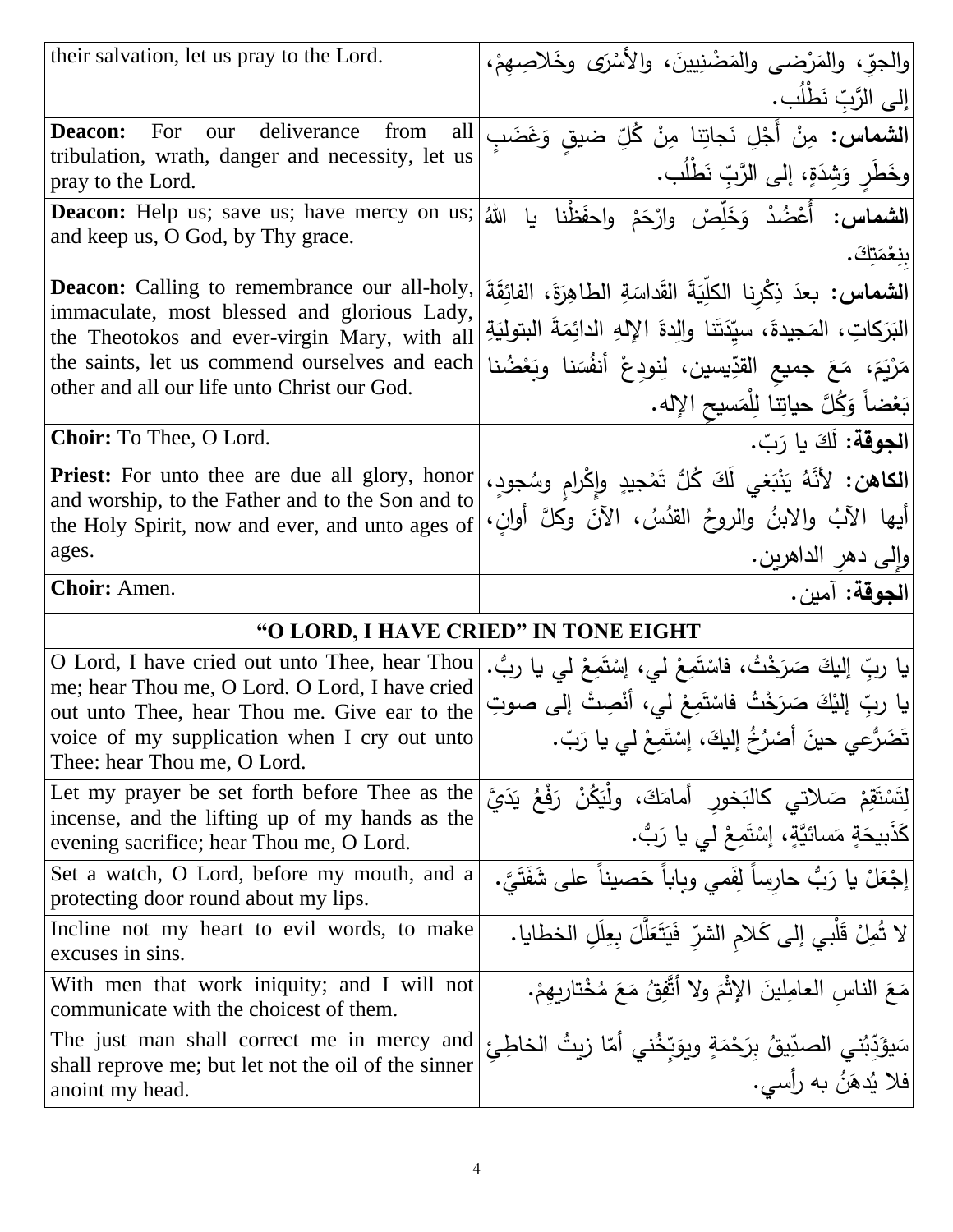| their salvation, let us pray to the Lord.                                                                 | والجوّ، والمَرْضى والمَضْنِيينَ، والأَسْرَى وخَلاصِهِمْ،                     |
|-----------------------------------------------------------------------------------------------------------|------------------------------------------------------------------------------|
|                                                                                                           | إلى الرَّبِّ نَطْلُب.                                                        |
| For our<br>deliverance<br>from<br>all<br><b>Deacon:</b>                                                   | <b> الشماس:</b> مِنْ أَجْلِ نَجاتِنا مِنْ كُلِّ ضيقٍ وَغَضَبِ                |
| tribulation, wrath, danger and necessity, let us<br>pray to the Lord.                                     | وخَطَرٍ وَشِدَةٍ، إلى الرَّبِّ نَطْلُب.                                      |
| <b>Deacon:</b> Help us; save us; have mercy on us;                                                        | ا <b>لشماس:</b> أُعْضُدْ وَخَلِّصْ وارْحَمْ واحفَظْنا<br>اللَّهُ<br>يا       |
| and keep us, O God, by Thy grace.                                                                         | بنغْمَتكَ.                                                                   |
| <b>Deacon:</b> Calling to remembrance our all-holy,                                                       | الشماس: بعدَ ذِكْرِنا الكلِّيَةَ القَداسَةِ الطاهِرَةَ، الفائِقَةَ           |
| immaculate, most blessed and glorious Lady,<br>the Theotokos and ever-virgin Mary, with all               | البَرَكاتِ، المَجيدةَ، سيّدَتَنا والِدةَ الإِلهِ الدائِمَةَ البِتولِيَةِ     |
| the saints, let us commend ourselves and each                                                             | مَرْيَمَ، مَعَ جميع القدِّيسين، لِنودِعْ أنفُسَنا وبَعْضُنا                  |
| other and all our life unto Christ our God.                                                               | بَعْضاً وَكُلَّ حياتِنا لِلْمَسيحِ الإِله.                                   |
| Choir: To Thee, O Lord.                                                                                   | الجوقة: لَكَ يا رَبّ.                                                        |
| <b>Priest:</b> For unto thee are due all glory, honor                                                     | <mark>الكاهن: لأنَّهُ يَنْبَغي لَكَ كُلُّ تَمْجيدٍ وإِكْرامٍ وسُجودٍ،</mark> |
| and worship, to the Father and to the Son and to<br>the Holy Spirit, now and ever, and unto ages of       | إِيها الآبُ والابنُ والروحُ القدُسُ، الآنَ وكلَّ أُوانِ،                     |
| ages.                                                                                                     | وإلى دهر الداهرين.                                                           |
|                                                                                                           |                                                                              |
| Choir: Amen.                                                                                              |                                                                              |
|                                                                                                           | "O LORD, I HAVE CRIED" IN TONE EIGHT                                         |
| O Lord, I have cried out unto Thee, hear Thou                                                             | الجوقة: آمين.                                                                |
| me; hear Thou me, O Lord. O Lord, I have cried                                                            | يا ربِّ إليكَ صَرَخْتُ، فاسْتَمِعْ لي، إسْتَمِعْ لي يا ربُّ.                 |
| out unto Thee, hear Thou me. Give ear to the                                                              | يا ربِّ إليْكَ صَرَخْتُ فاسْتَمِعْ لي، أنْصِتْ إلى صوتِ                      |
| voice of my supplication when I cry out unto<br>Thee: hear Thou me, O Lord.                               | تَضَرُّعي حينَ أَصْرُخُ إِلَيكَ، إِسْتَمِعْ لِي يا رَبِّ.                    |
| Let my prayer be set forth before Thee as the                                                             | لِتَسْتَقِمْ صَلاتي كالبَخور أمامَكَ، ولِّيَكُنْ رَفْعُ يَدَيَّ              |
| incense, and the lifting up of my hands as the<br>evening sacrifice; hear Thou me, O Lord.                | كَذَبِيحَةٍ مَسائيَّةٍ، إِسْتَمِعْ لي يا رَبُّ.                              |
| Set a watch, O Lord, before my mouth, and a<br>protecting door round about my lips.                       | إجْعَلْ يا رَبُّ حارساً لِفَمى وبِاباً حَصيناً على شَفَتَيَّ.                |
| Incline not my heart to evil words, to make                                                               | لا تُمِلْ قَلْبِي إلى كَلامِ الشرِّ فَيَتَعَلَّلَ بِعِلَلِ الخطايا.          |
| excuses in sins.<br>With men that work iniquity; and I will not<br>communicate with the choicest of them. | مَعَ الناس العامِلينَ الإِثْمَ ولا أتَّفِقُ مَعَ مُخْتارِبِهِمْ.             |
| The just man shall correct me in mercy and                                                                | سَيؤَدِّبُني الصدِّيقُ بِرَحْمَةٍ وبِوَبِّخُني أمّا زيتُ الخاطِئ             |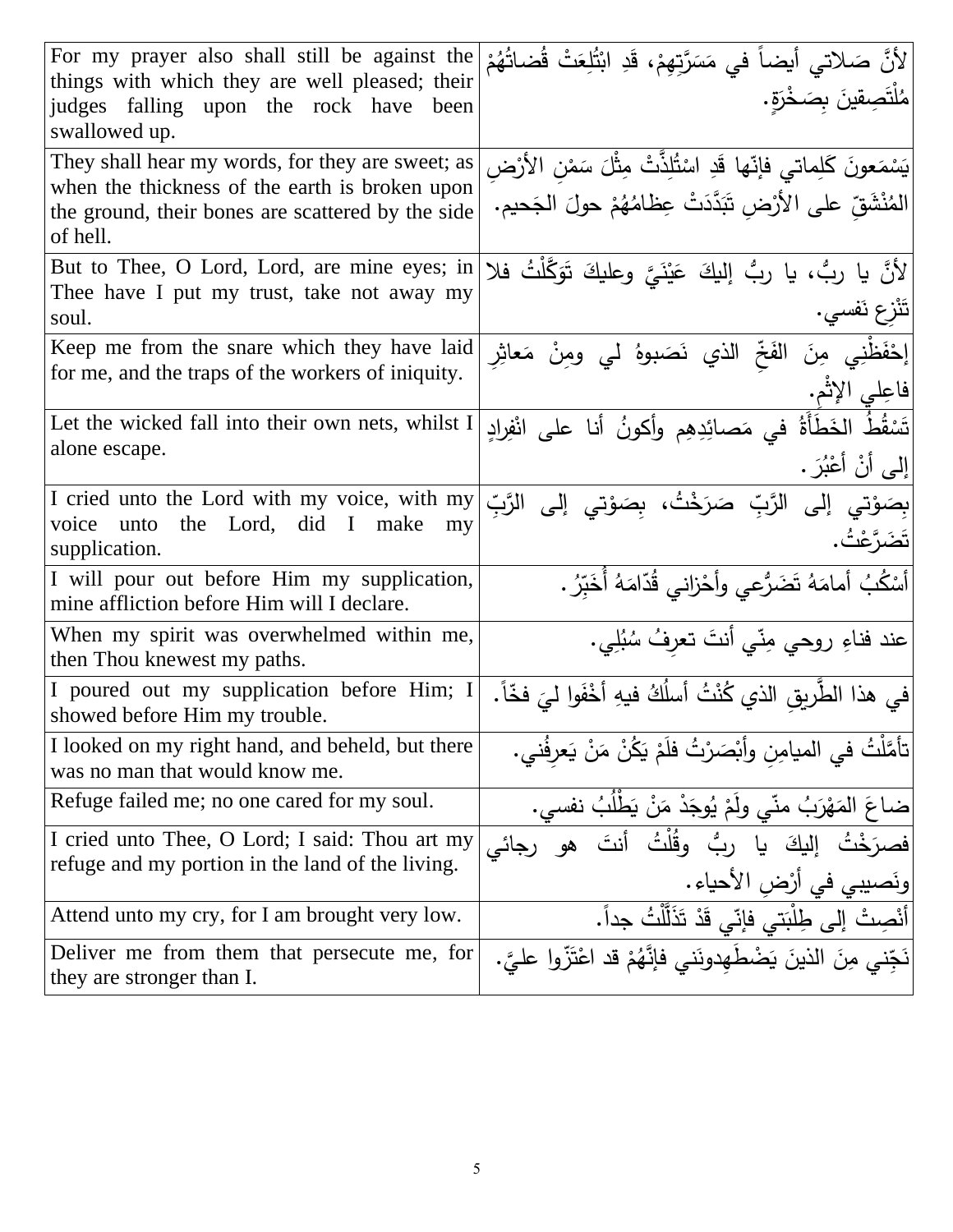| For my prayer also shall still be against the<br>things with which they are well pleased; their<br>judges falling upon the rock have been<br>swallowed up.          | لأنَّ صَلاتي أيضاً في مَسَرَّتِهِمْ، قَدِ ابْتُلِعَتْ قُضاتُهُمْ<br> مُلْتَصِقِينَ بِصَخْرَةٍ.                                        |
|---------------------------------------------------------------------------------------------------------------------------------------------------------------------|---------------------------------------------------------------------------------------------------------------------------------------|
| They shall hear my words, for they are sweet; as<br>when the thickness of the earth is broken upon<br>the ground, their bones are scattered by the side<br>of hell. | يَسْمَعونَ كَلِماتي فإنّها قَدِ اسْتُلِذَّتْ مِثْلَ سَمْنِ الأَرْضِ<br>المُنْشَقِّ على الأَرْضِ تَبَدَّدَتْ عِظَامُهُمْ حولَ الجَحيم. |
| But to Thee, O Lord, Lord, are mine eyes; in<br>Thee have I put my trust, take not away my<br>soul.                                                                 | لأَنَّ يا ربُّ، يا ربُّ إليكَ عَيْنَيَّ وعليكَ تَوَكَّلْتُ فلا<br> تَنْزع نَفسى.                                                      |
| Keep me from the snare which they have laid<br>for me, and the traps of the workers of iniquity.                                                                    | <mark>إِحْفَظْ</mark> نِي مِنَ الفَخِّ الذ <i>ي</i> نَصَبوهُ لي ومِنْ مَعاثِرِ<br> فاعِلي الإثم.                                      |
| Let the wicked fall into their own nets, whilst I<br>alone escape.                                                                                                  | تَسْقُطُ الخَطَأَةُ في مَصائِدِهِم وأكونُ أنا على انْفِرادِ<br> إِلَى أَنْ أَعْبُرَ .                                                 |
| I cried unto the Lord with my voice, with my<br>the Lord, did I make<br>voice unto<br>my<br>supplication.                                                           | بِصَوْتي إلى الرَّبِّ صَرَخْتُ، بِصَوْتي إلى<br>الرَّبِّ<br>تَضَرَّعْتُ.                                                              |
| I will pour out before Him my supplication,<br>mine affliction before Him will I declare.                                                                           | أَسْكُبُ أَمامَهُ تَضَرُّعي وأَحْزاني قُدّامَهُ أَخَبِّرُ .                                                                           |
| When my spirit was overwhelmed within me,<br>then Thou knewest my paths.                                                                                            | عند فناءِ روحي مِنّي أنتَ تعرِفُ سُبُلِي.                                                                                             |
| I poured out my supplication before Him; I<br>showed before Him my trouble.                                                                                         | في هذا الطَّربِقِ الذي كُنْتُ أسلُكُ فيهِ أَخْفَوا ل <i>يَ</i> فَخّاً.                                                                |
| I looked on my right hand, and beheld, but there<br>was no man that would know me.                                                                                  | تأمَّلْتُ في الميامِن وأبْصَرْتُ فلَمْ يَكُنْ مَنْ يَعرفُني.                                                                          |
| Refuge failed me; no one cared for my soul.                                                                                                                         | ضاعَ المَهْرَبُ منّي ولَمْ يُوجَدْ مَنْ يَطْلُبُ نفسي.                                                                                |
| I cried unto Thee, O Lord; I said: Thou art my<br>refuge and my portion in the land of the living.                                                                  | يا ربُ وقُلْتُ أنتَ<br>المك<br>رجائى<br>ونَصيبي في أرْض الأحياء .                                                                     |
| Attend unto my cry, for I am brought very low.                                                                                                                      | أَنْصِتْ إِلَى طِلْبَتى فإنّي قَدْ تَذَلَّلْتُ جداً.                                                                                  |
| Deliver me from them that persecute me, for<br>they are stronger than I.                                                                                            | نَجّنى مِنَ الذينَ يَضْطَهِدونَني فإنَّهُمْ قد اعْتَزُّوا عليَّ.                                                                      |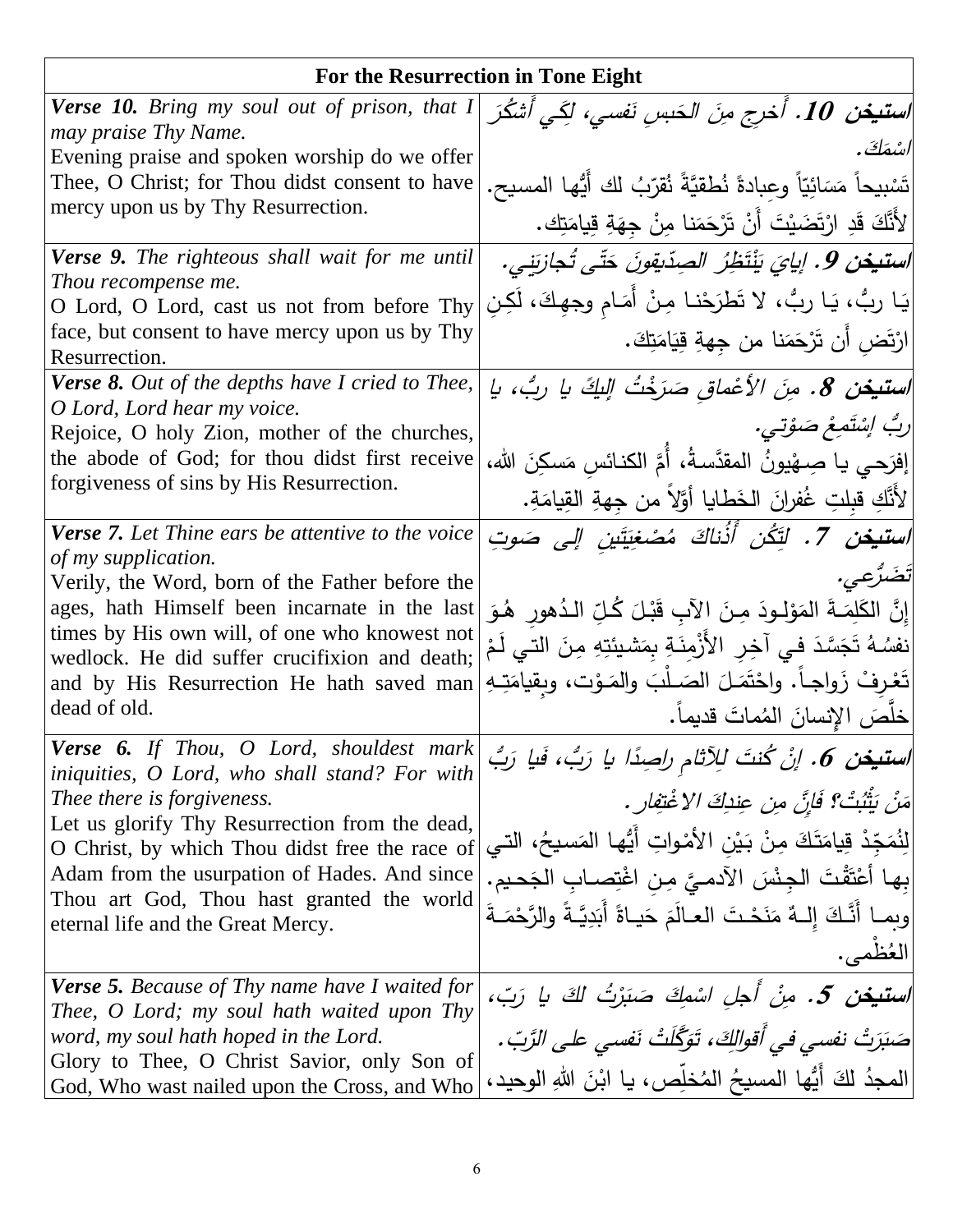|                                                                                                | For the Resurrection in Tone Eight                                            |
|------------------------------------------------------------------------------------------------|-------------------------------------------------------------------------------|
| Verse 10. Bring my soul out of prison, that I<br>may praise Thy Name.                          | ا <b>ستيغن 10 . أُخرج مِنَ الحَسِنِ نَفسي، لَكِي أَشكُرَ</b>                  |
| Evening praise and spoken worship do we offer                                                  | اسْمَكَ .                                                                     |
| Thee, O Christ; for Thou didst consent to have                                                 | تَسْبِيحاً مَسَائِيّاً وعِبادةً نُطفّيَّةً نُقرّبُ لك أَيُّها المسيح.         |
| mercy upon us by Thy Resurrection.                                                             | ِ لأَنَّكَ قَدِ ارْتَضَيْتَ أَنْ تَرْحَمَنا مِنْ جِهَةِ قِيامَتِك <b>.</b>    |
| <b>Verse 9.</b> The righteous shall wait for me until                                          | ا <b>ستيخن 9</b> . إيايَ يَنْتَظِرُ الصِدّيقِونَ حَتّى تُجازِيَنِي.           |
| Thou recompense me.                                                                            |                                                                               |
| O Lord, O Lord, cast us not from before Thy                                                    | يَا ربُّ، يَا ربُّ، لا تَطرَحْنا مِنْ أَمَامٍ وجهِكَ، لَكِنِ                  |
| face, but consent to have mercy upon us by Thy<br>Resurrection.                                | ارْتَض أَن تَرْحَمَنا من جِهةِ قِيَامَتِكَ.                                   |
| <b>Verse 8.</b> Out of the depths have I cried to Thee,                                        | اس <b>تيخن 8.</b> مِنَ الأعْماق صَرَخْتُ اللَّكَ يا ربُ، يا                   |
| O Lord, Lord hear my voice.                                                                    | رِبُ إِسْتَمِعْ صَوْتِي.                                                      |
| Rejoice, O holy Zion, mother of the churches,                                                  |                                                                               |
| the abode of God; for thou didst first receive                                                 | إفرَحـى يـا صِـهْيونُ المقدَّسـةُ، أُمَّ الكنـائس مَسكِنَ الله،               |
| forgiveness of sins by His Resurrection.                                                       | [لأَنَّكِ قبِلتِ غُفرانَ الخَطايا أَوَّلاً من جِهةِ القِيامَةِ.               |
| <b>Verse 7.</b> Let Thine ears be attentive to the voice                                       | اس <b>تيخن 7.</b> لِتَكُن أَذُناكَ مُصْغِيَتَينِ إِلى صَوتِ                   |
| of my supplication.                                                                            | تَضَرُّعِي.                                                                   |
| Verily, the Word, born of the Father before the                                                |                                                                               |
| ages, hath Himself been incarnate in the last<br>times by His own will, of one who knowest not | إِنَّ الكَلِمَــةَ المَوْلِــودَ مِـنَ الآبِ قَبْـلَ كُـلِّ الـدُهورِ ۖ هُـوَ |
| wedlock. He did suffer crucifixion and death;                                                  | نفسُهُ تَجَسَّدَ في آخِرِ الأَزْمِنَةِ بِمَشيئتِهِ مِنَ التي لَمْ             |
| and by His Resurrection He hath saved man                                                      | تَعْرِفْ زَواجاً. واحْتَمَلَ الصَـلْبَ والمَـوْت، وبقيامَتِـهِ                |
| dead of old.                                                                                   | خلَّصَ الإنسانَ المُماتَ قديماً.                                              |
| <b>Verse 6.</b> If Thou, O Lord, shouldest mark                                                | ا <b>ستيغن 6.</b> اِنْ كُنتَ لِلِآثامِ راصِدًا يا رَبُ، فَيا رَبُّ            |
| iniquities, O Lord, who shall stand? For with<br>Thee there is forgiveness.                    | مَنْ بَثْبُتْ؟ فَإِنَّ مِن عِنْدِكَ الاغْتِفارِ .                             |
| Let us glorify Thy Resurrection from the dead,                                                 |                                                                               |
| O Christ, by which Thou didst free the race of                                                 | لِنُمَجّدْ قِيامَتَكَ مِنْ بَيْنِ الأَمْواتِ أَيُّها المَسيحُ، التي           |
| Adam from the usurpation of Hades. And since<br>Thou art God, Thou hast granted the world      | بِها أَعْتَقْتَ الْجِنْسَ الآدمـيَّ مِنِ اغْتِصـابِ الجَحيمِ.                 |
| eternal life and the Great Mercy.                                                              | وبمـا أَنَّـكَ إِلــهُ مَنَحْتَ العـالَمَ حَيـاةً أَبَدِيَّـةً والرَّحْمَـةَ  |
|                                                                                                | العُظمى.                                                                      |
| <b>Verse 5.</b> Because of Thy name have I waited for                                          | ا <b>ستيغن 5.</b> مِنْ أجل اسْمِكَ صَبَرْتُ لِكَ يا رَبّ،                     |
| Thee, O Lord; my soul hath waited upon Thy<br>word, my soul hath hoped in the Lord.            | صَنَزَتْ نفسى في أَقوالِكَ، تَوَكَّلَتْ نَفسي على الزَّبّ.                    |
| Glory to Thee, O Christ Savior, only Son of                                                    |                                                                               |
| God, Who wast nailed upon the Cross, and Who                                                   | المجدُ لكَ أَيُّها المسيحُ المُخلِّص، يا ابْنَ اللهِ الوحيد،                  |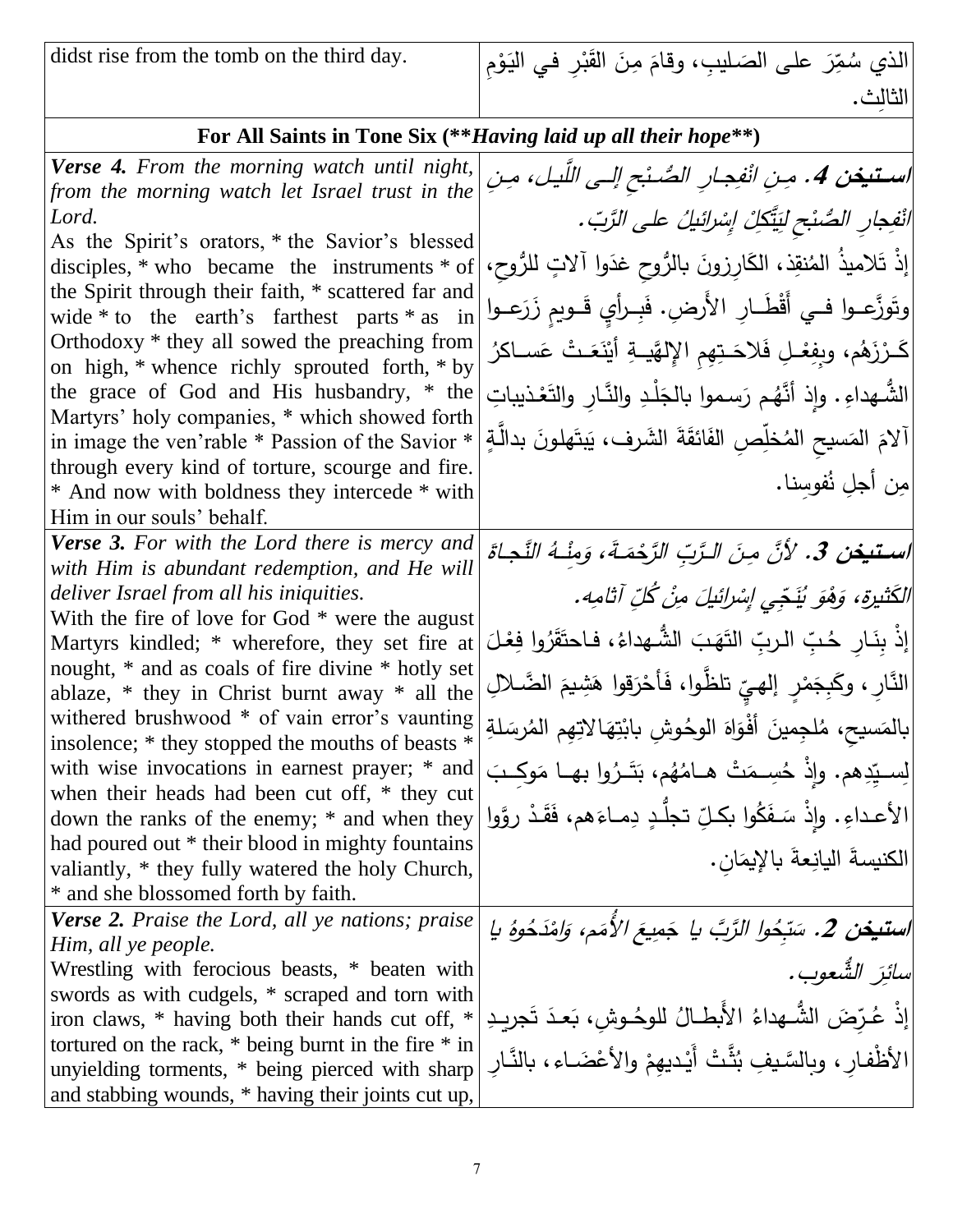didst rise from the tomb on the third day.

الذي سُمِّرَ على الصَليبِ، وقامَ مِنَ القَبْرِ في اليَوْمِ ؛<br>. ٔ. **ٔ** .<br>م .<br>ا مُ َ ِث. الثال

# **For All Saints in Tone Six (\*\****Having laid up all their hope***\*\*)**

| <b>Verse 4.</b> From the morning watch until night,                                           | استيغن 4. مِنِ انْفِجارِ الصُنْحِ إلى اللَّيل، مِنِ                     |
|-----------------------------------------------------------------------------------------------|-------------------------------------------------------------------------|
| from the morning watch let Israel trust in the                                                |                                                                         |
| Lord.                                                                                         | انْفِجارِ الصَّنْحِ لِيَتَّكِلْ إِسْرائِيلُ على الزَّبّ.                |
| As the Spirit's orators, * the Savior's blessed                                               |                                                                         |
| disciples, $*$ who became the instruments $*$ of                                              | إِذْ تَلاميذُ المُنقِذ، الكَارِزونَ بالرُّوحِ غدَوا آلاتٍ للرُّوحِ،     |
| the Spirit through their faith, * scattered far and                                           |                                                                         |
| wide $*$ to the earth's farthest parts $*$ as in                                              | وتَوزَّعــوا فــي أَقْطَــارِ الأَرضِ. فَبِــرأيِ قَــوبِمِ زَرَعــوا   |
| Orthodoxy * they all sowed the preaching from                                                 | كَـرْزَهُم، وبِفِعْـلِ فَلاحَـتِهِم الإِلهَّيــةِ أَيْنَعَـتْ عَســاكرُ |
| on high, * whence richly sprouted forth, * by                                                 |                                                                         |
| the grace of God and His husbandry, * the                                                     | الشُّهداءِ . وإذ أنَّهُم رَسموا بالجَلْدِ والنَّارِ والتَعْذيباتِ       |
| Martyrs' holy companies, * which showed forth                                                 |                                                                         |
| in image the ven'rable * Passion of the Savior *                                              | آلامَ المَسيح المُخلِّصِ الفَائقَةَ الشَّرف، يَبتَهلونَ بدالَّةٍ        |
| through every kind of torture, scourge and fire.                                              | مِن أجلِ نُفوسِنا.                                                      |
| * And now with boldness they intercede * with                                                 |                                                                         |
| Him in our souls' behalf.                                                                     |                                                                         |
| <b>Verse 3.</b> For with the Lord there is mercy and                                          | استيغن 3. لأنَّ مِنَ الرَّبِّ الرَّحْمَـةَ، وَمِنْـهُ النَّجاةَ         |
| with Him is abundant redemption, and He will                                                  |                                                                         |
| deliver Israel from all his iniquities.                                                       | الكَثْنِيرَة، وَهُوَ يُنَجِّي إِسْرائِيلَ مِنْ كُلِّ آثامِه.            |
| With the fire of love for God $*$ were the august                                             |                                                                         |
| Martyrs kindled; * wherefore, they set fire at                                                | [إذْ بِنَـارِ حُـبِّ الـربِّ التَهَبَ الشُّـهداءُ، فـاحتَقَرُوا فِعْـلَ |
| nought, * and as coals of fire divine * hotly set                                             | النَّارِ ، وكَبِجَمْرِ ۖ إلهيِّ تلظُّوا، فَأَحْرَقوا هَشِيمَ الضَّلالِ  |
| ablaze, $*$ they in Christ burnt away $*$ all the                                             |                                                                         |
| withered brushwood * of vain error's vaunting                                                 | بالمَسيح، مُلجِمينَ أَفْوَاهَ الوحُوشِ بابْتِهَالاتِهِم المُرسَلةِ      |
| insolence; * they stopped the mouths of beasts *                                              |                                                                         |
| with wise invocations in earnest prayer; * and                                                | لِسبِيِّدِهم. وإِذْ حُسِـمَتْ هـامُهُم، بَتَـرُوا بهـا مَوكِـبَ         |
| when their heads had been cut off, * they cut<br>down the ranks of the enemy; * and when they | الأعداءِ. وإذْ سَفَكُوا بكلِّ تجلَّدٍ دِمـاءَهم، فَقَدْ روَّوا          |
| had poured out * their blood in mighty fountains                                              |                                                                         |
| valiantly, * they fully watered the holy Church,                                              | الكنيسةَ اليانِعةَ بالإِيمَانِ.                                         |
| * and she blossomed forth by faith.                                                           |                                                                         |
| <b>Verse 2.</b> Praise the Lord, all ye nations; praise                                       | استيخن 2. سَبّحُوا الرَّبَّ يا جَمِيعَ الأَمَم، وَلِمْدَحُوهُ يا        |
| Him, all ye people.                                                                           |                                                                         |
| Wrestling with ferocious beasts, * beaten with                                                | سائِرَ الشَّعوب.                                                        |
| swords as with cudgels, * scraped and torn with                                               |                                                                         |
| iron claws, * having both their hands cut off, *                                              | <br> إذْ عُرِّضَ الشُّهداءُ الأَبطالُ للوحُـوشِ، بَعدَ تَجريدِ          |
| tortured on the rack, $*$ being burnt in the fire $*$ in                                      |                                                                         |
| unyielding torments, * being pierced with sharp                                               | الأظْفار ، وبالسَّيفِ بُثَّتْ أَيْدِيهِمْ والأَعْضَـاء ، بالنَّارِ      |
| and stabbing wounds, * having their joints cut up,                                            |                                                                         |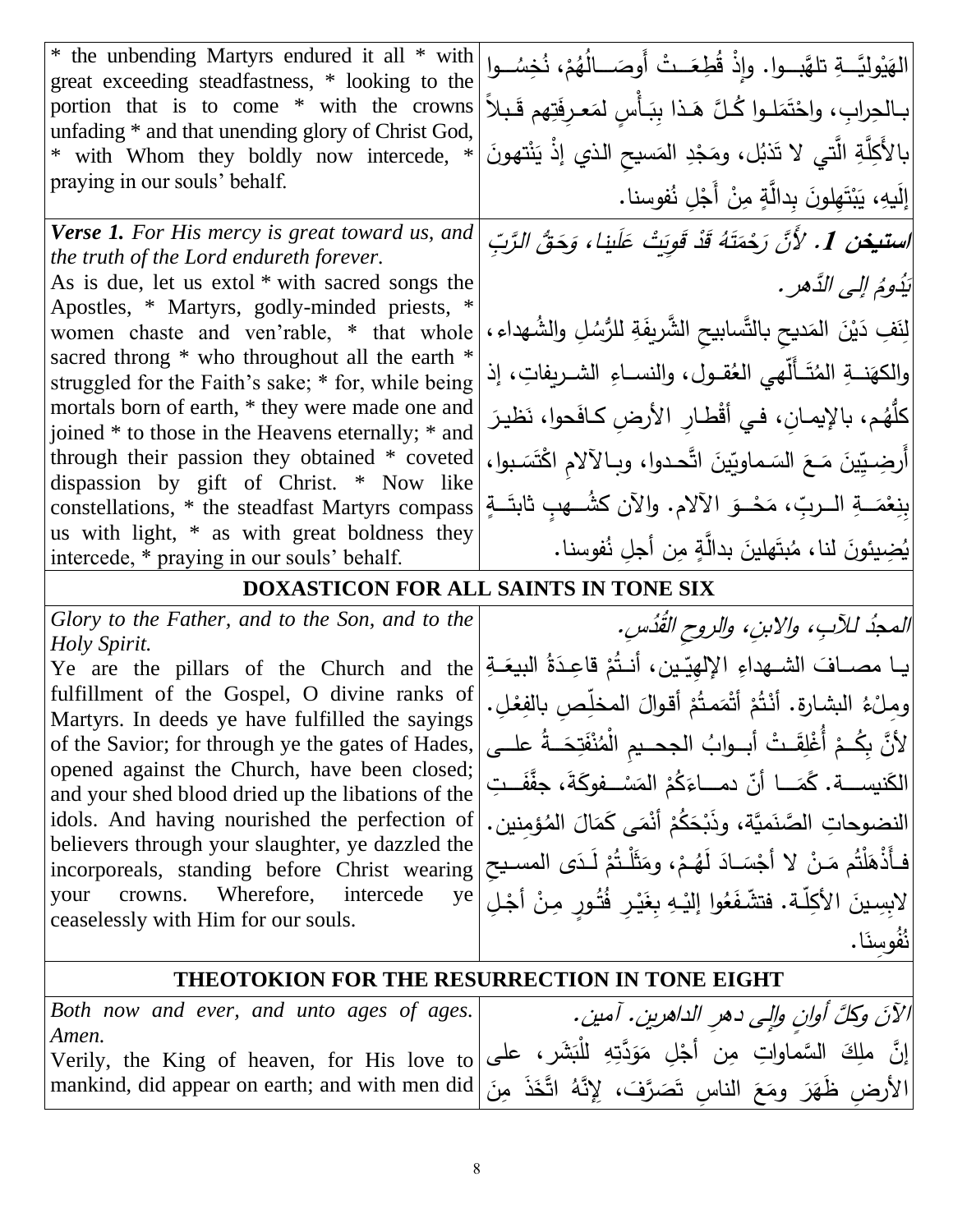| * the unbending Martyrs endured it all * with<br>great exceeding steadfastness, * looking to the     | الهَيْوِليَّـــةِ تلهَّبـــوا. وإِذْ قُطِعَــتْ أَوصَــــالُهُمْ، نُخِسُـــوا                                                                                                                |
|------------------------------------------------------------------------------------------------------|----------------------------------------------------------------------------------------------------------------------------------------------------------------------------------------------|
| portion that is to come * with the crowns<br>unfading * and that unending glory of Christ God,       | بـالحِرابِ، واحْتَمَلـوا كُـلَّ هَـذا بِبَـأْسِ لمَعـرِفَتِهم قَـبلاً                                                                                                                        |
| * with Whom they boldly now intercede, *                                                             | ْ بِالأَكِلَّةِ الَّتي لا تَذْبُل، ومَجْدِ المَسيحِ الذي إذْ يَنْتهونَ                                                                                                                       |
| praying in our souls' behalf.                                                                        | إِلَيهِ، يَبْتَهِلونَ بِدالَّةٍ مِنْ أَجْلِ نُفوسنا.                                                                                                                                         |
| <b>Verse 1.</b> For His mercy is great toward us, and<br>the truth of the Lord endureth forever.     | ا <b>ستيغن 1.</b> لأَنَّ رَحْمَتَهُ قَدْ قَوِيَتْ عَلَينا، وَحَقُّ الرَّبِّ                                                                                                                  |
| As is due, let us extol * with sacred songs the                                                      | يَدُومُ إِلِي الدَّهرِ .                                                                                                                                                                     |
| Apostles, * Martyrs, godly-minded priests, *<br>women chaste and ven'rable, * that whole             | لِنَفِ دَيْنَ المَديح بالتَّسابيح الشَّريفَةِ للرُّسُلِ والشُّهداءِ،                                                                                                                         |
| sacred throng * who throughout all the earth *<br>struggled for the Faith's sake; * for, while being | والكهَنـــةِ المُتَــأَلَّهي الـعُقــول، والنســاءِ الشــريفاتِ، إذ                                                                                                                          |
| mortals born of earth, * they were made one and<br>joined * to those in the Heavens eternally; * and | كلُّهُم، بالإيمـانِ، فـي أقْطـارِ الأرضِ كـافَحوا، نَظيـرَ                                                                                                                                   |
| through their passion they obtained * coveted                                                        | أَرضِيِّينَ مَـعَ السَـماويِّينَ اتَّحـدوا، وبـالآلام اكْتَسَـبوا،                                                                                                                           |
| dispassion by gift of Christ. * Now like<br>constellations, * the steadfast Martyrs compass          | بِنِعْمَـــةِ الـــربِّ، مَحْــوَ الآلام. والآن كشُـــهبِ ثابتَـــةٍ                                                                                                                         |
| us with light, * as with great boldness they<br>intercede, * praying in our souls' behalf.           | يُضِيئونَ لنا، مُبتَهلينَ بدالَّةٍ مِن أجلِ نُفوسنا.                                                                                                                                         |
| DOXASTICON FOR ALL SAINTS IN TONE SIX                                                                |                                                                                                                                                                                              |
| Glory to the Father, and to the Son, and to the                                                      |                                                                                                                                                                                              |
| Holy Spirit.                                                                                         | المحدُ للآبِ، والابنِ، والروح القُدُسِ.                                                                                                                                                      |
| Ye are the pillars of the Church and the                                                             | يـا مصـافَ الشـهداءِ الإلهِيّينِ، أنـتُمْ قاعِـدَةُ البيعَـةِ                                                                                                                                |
| fulfillment of the Gospel, O divine ranks of<br>Martyrs. In deeds ye have fulfilled the sayings      | ومِلْءُ البشارةِ. أَنْتُمْ أَتْمَمتُمْ أَقوالَ المخلِّصِ بالفِعْلِ.                                                                                                                          |
| of the Savior; for through ye the gates of Hades,                                                    | [لأنَّ بِكُـمْ أُغْلِقَـتْ أبــوابُ الجحــيم الْمُنْفَتِحَــةُ علــي                                                                                                                         |
| opened against the Church, have been closed;<br>and your shed blood dried up the libations of the    | الكَنيســـة. كَمَـــا أنّ دمـــاءَكُمْ المَسْــفوكَةَ، جفَّفَــتِ                                                                                                                            |
| idols. And having nourished the perfection of                                                        | النضوحاتِ الصَّنَميَّة، وذَبْحَكُمْ أَنْمَى كَمَالَ المُؤمنين.                                                                                                                               |
| believers through your slaughter, ye dazzled the<br>incorporeals, standing before Christ wearing     | فـأَذْهَلْتُم مَـنْ لا أَجْسَـادَ لَهُـمْ، ومَثَلْـتُمْ لَـدَى المسـيح                                                                                                                       |
| Wherefore,<br>your crowns.<br>intercede<br>ye                                                        | لابِسِينَ الأكِلّة. فتشّفَعُوا إليْهِ بِغَيْرِ فُتُورِ مِنْ أَجْلِ                                                                                                                           |
| ceaselessly with Him for our souls.                                                                  |                                                                                                                                                                                              |
|                                                                                                      | نُفُوسنَا.                                                                                                                                                                                   |
|                                                                                                      | <b>THEOTOKION FOR THE RESURRECTION IN TONE EIGHT</b>                                                                                                                                         |
|                                                                                                      |                                                                                                                                                                                              |
|                                                                                                      | roon now and ever, and unto ages of ages.<br>Amen.<br>إنَّ ملِكَ السَّماواتِ مِن أَجْلِ مَوَدَّتِهِ الْمُبَشَرِ، على Amen.<br>[إنَّ ملِكَ السَّماواتِ مِن أَجْلِ مَوَدَّتِهِ الْمُبَشَر، على |
|                                                                                                      |                                                                                                                                                                                              |

8

mankind, did appear on earth; and with men did

<u>ً</u>

الأَرضِ ظَهَرَ ومَعَ الناسِ تَصَرَّفَ، لِإِنَّهُ اتَّخَذَ مِنَ

 $\zeta$ ـ<br>-

 $\overline{a}$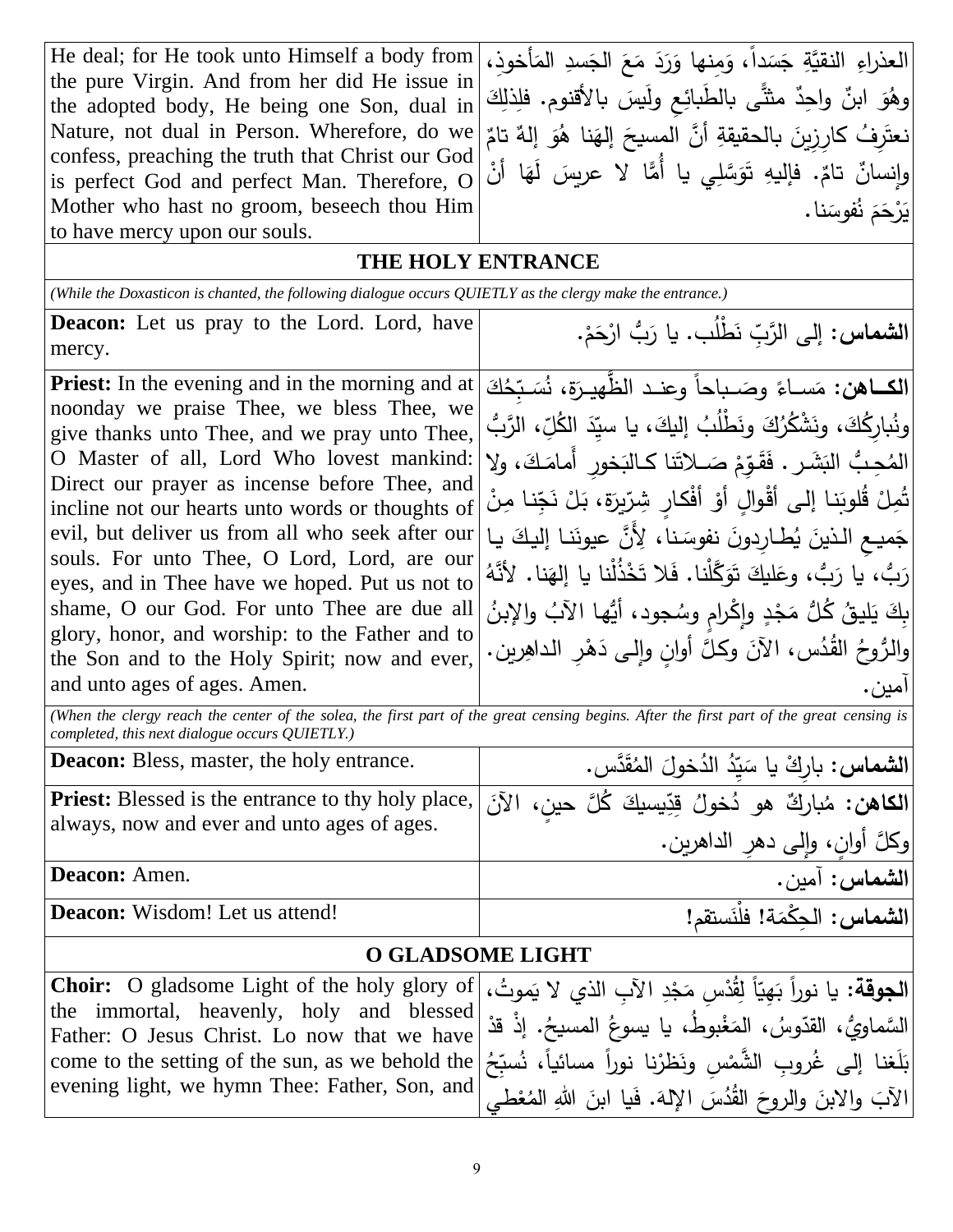العذراءِ النقيَّةِ جَسَداً، وَمِنها وَرَدَ مَعَ الجَسدِ المَأخوذِ، ا<br>ا  $\zeta$ ً<br>ً .<br>م َ َ ً<br>أ وهُوَ ابنٌ واحِدٌ مثثًى بالطَبائِعِ ولَيسَ بالأقنوم. فلِذلِكَ ٌ تام ٌ إله و ُ نا ه إله أ َّن المسيح بالحقيقةِ َ ُف كاِرِزين ِر َ نعت َ  $\epsilon$  $\ddot{\phantom{0}}$ .<br>-وإِنسانٌ تامٌ. فإليهِ تَوَسَّلِي يا أُمَّا لا عربِسَ لَهَا أنْ  $\epsilon$ َ يَرْحَمَ نُفوسَنا. He deal; for He took unto Himself a body from the pure Virgin. And from her did He issue in the adopted body, He being one Son, dual in Nature, not dual in Person. Wherefore, do we confess, preaching the truth that Christ our God is perfect God and perfect Man. Therefore, O Mother who hast no groom, beseech thou Him to have mercy upon our souls. **THE HOLY ENTRANCE** *(While the Doxasticon is chanted, the following dialogue occurs QUIETLY as the clergy make the entrance.)* ا**لشماس:** إلى الرَّبِّ نَطْلُب. يا <u>َ</u> إلى الرَّبِّ نَطْلب. يا رَبُّ ارْحَمْ. ْ َ .<br>م **Deacon:** Let us pray to the Lord. Lord, have mercy. **الكــاهن:** مَســاءً وصَــباحاً وعنـد الظَّهيـرَة، نُسَـبِّحُكَ<br>. َ َ ً<br>أ َ ونُبارِكُكَ، ونَشْكُرُكَ ونَطْلُبُ إليكَ، يا سيِّدَ الكُلِّ، الرَّبُّ<br>. .<br>-َ ني<br>أ المُحِبُّ البَشَرِ . فَقَوِّمْ صَـلاَتَنا كـالبَخورِ أَمامَكَ، ولا<br>وصاحب َ <u>آ</u> .<br>م <u>:</u> جِّنا مِنْ تُمِلْ قُلوبَنا إلى أقْوالٍ أَوْ أَفْكارٍ شِرِّيزَةٍ، بَلْ نَجِّ ֡֡<u>֡</u> َ ؛<br>' <u>ٔ</u> َ evil, but deliver us from all who seek after our إليكَ يـا |evil, but deliver us from all who seek after our<br>souls For unto Thee O Lord Lord are our َ ً<br>ب .<br>ا رَبُّ، يا رَبُّ، وعَليكَ تَوَكَّلْنا. فَلا تَخْذُلْنا يا إلهَنا. لأنَّهُ َ َ َ َ بِكَ يَليقُ كُلُّ مَجْدٍ وإِكْرامٍ وِسُجود، أَيُّها الآبُ والإِبنُ<br>. <u>ْ</u> **ٔ** ا<br>ا والرُوحُ القُدُس، الآنَ وكلَّ أوانٍ وإلى دَهْرِ الداهِرين. <u>ا</u> آمين. **Priest:** In the evening and in the morning and at noonday we praise Thee, we bless Thee, we give thanks unto Thee, and we pray unto Thee, O Master of all, Lord Who lovest mankind: Direct our prayer as incense before Thee, and incline not our hearts unto words or thoughts of souls. For unto Thee, O Lord, Lord, are our eyes, and in Thee have we hoped. Put us not to shame, O our God. For unto Thee are due all glory, honor, and worship: to the Father and to the Son and to the Holy Spirit; now and ever, and unto ages of ages. Amen. *(When the clergy reach the center of the solea, the first part of the great censing begins. After the first part of the great censing is completed, this next dialogue occurs QUIETLY.)* **الشماس:** َّدس. ق ُ الم ُخول الد ُ ِد ّ ي ْك يا س **Deacon:** Bless, master, the holy entrance. رِبا ٌ<br>ا <u>֝</u> ـ<br>-ا**لكاهن:** مُباركٌ هو دُخولُ قِدِّيسيكَ كُلَّ حينٍ، الآنَ .<br>ا َ مُباركٌ هو دُخولُ قِدِّ **Priest:** Blessed is the entrance to thy holy place, always, now and ever and unto ages of ages.

**الشماس:** آمين. .Amen **:Deacon**

**Deacon:** Wisdom! Let us attend!

### **O GLADSOME LIGHT**

وكلَّ أوانٍ، وإِلى دهرِ الداهرين.

َ

ا**لشماس:** الحِكْمَة! فلْنَستقم  $\overline{a}$ 

| الجوقة: يا نوراً بَهِيّاً لِقُدْسِ مَجْدِ الآبِ الذي لا يَموتُ، Choir:  O gladsome Light of the holy glory of                                 |  |
|-----------------------------------------------------------------------------------------------------------------------------------------------|--|
| the immortal, heavenly, holy and blessed السَّماويُّ، الْمَغْبُوطُ، يَا يَسوعُ المَسْيحُ. إِذْ قَدْ [the immortal, heavenly, holy and blessed |  |
| بَلَغنا إلى غُروبِ الشَّمْسِ ونَظرْنا نوراً مسائياً، نُسبِّحُ come to the setting of the sun, as we behold the                                |  |
| 'لآبَ والابنَ والروحَ القُدُسَ الإِلهَ. فَيا ابنَ اللهِ المُعْطَى  evening light, we hymn Thee: Father, Son, and                              |  |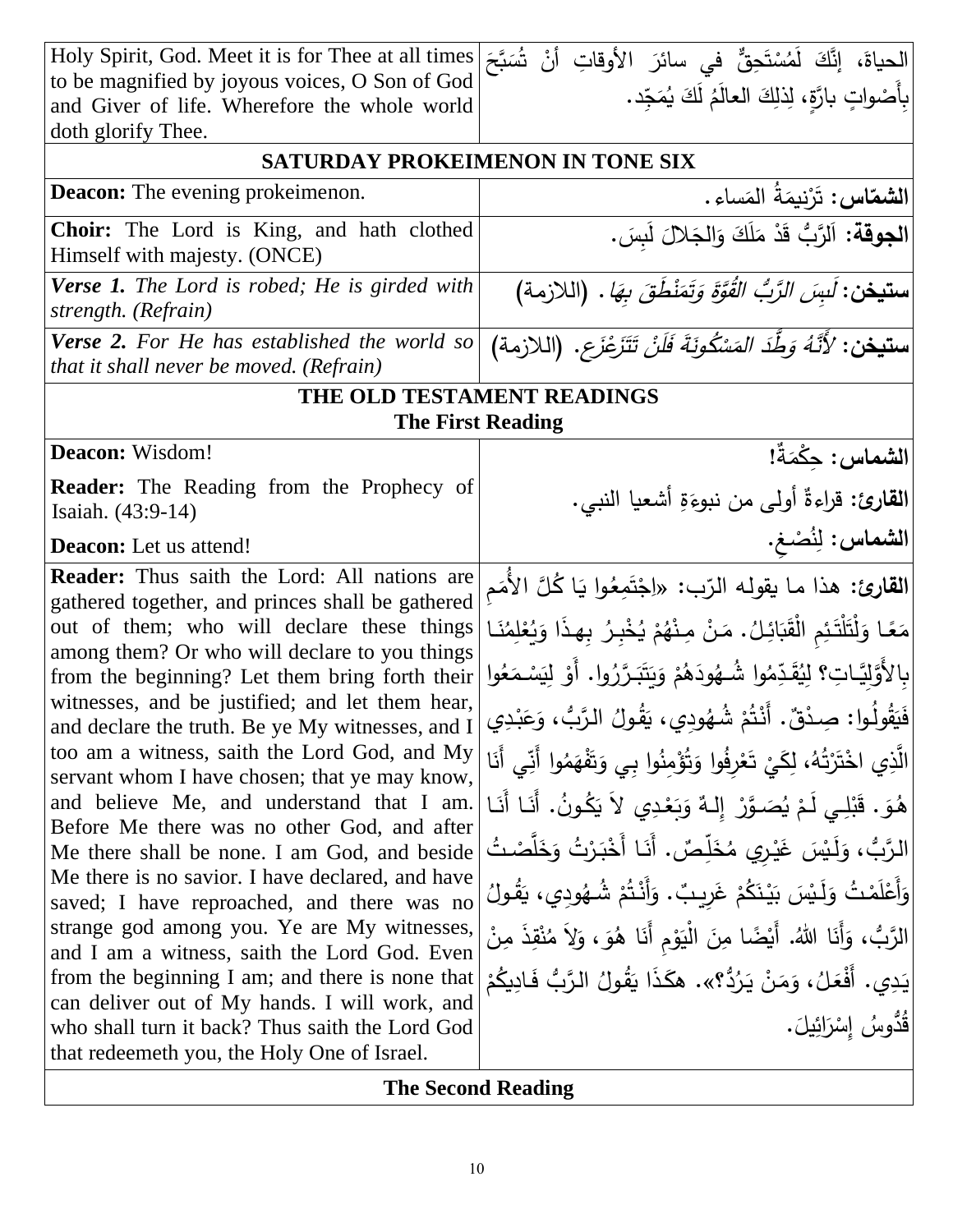| الحياة، إنَّكَ لَمُسْتَحِقٌّ في سائرَ الأوقاتِ أنْ شُبَّحَ<br>بِأَصْواتٍ بارَّةٍ، لِذلِكَ العالَمُ لَكَ يُمَجِّد.<br>Holy Spirit, God. Meet it is for Thee at all times<br>to be magnified by joyous voices, O Son of God<br>and Giver of life. Wherefore the whole world<br>doth glorify Thee.<br>SATURDAY PROKEIMENON IN TONE SIX<br><b>Deacon:</b> The evening prokeimenon.<br> الجوقة: اَلرَّبُ قَدْ مَلَكَ وَالجَلالَ لَبِسَ.<br>Choir: The Lord is King, and hath clothed<br>Himself with majesty. (ONCE)<br>ستيغن: لَسِ <i>َن الرَّبُّ القُوَّةَ وَتَمَنْطُقَ بِهَا</i> . (اللازمة)<br><b>Verse 1.</b> The Lord is robed; He is girded with<br>strength. (Refrain)<br>ِ س <b>تيخن:</b> <i>لأَنَّهُ وَطُّدَ المَسْكُونَةَ فَلَنْ تَتَزَعْزَع</i> . [اللازمة)<br><b>Verse 2.</b> For He has established the world so<br>that it shall never be moved. (Refrain)<br>THE OLD TESTAMENT READINGS<br><b>The First Reading</b><br>الشماس: حِكْمَةٌ!<br>Deacon: Wisdom!<br><b>Reader:</b> The Reading from the Prophecy of<br>القارئ: قراءةٌ أولى من نبوءَةِ أشعيا النبي.<br>Isaiah. (43:9-14)<br>الشماس: لِنُصْغ.<br><b>Deacon:</b> Let us attend!<br><b>Reader:</b> Thus saith the Lord: All nations are<br> ا <b>لقارئ:</b> هذا مـا يقولـه الرّب: «اِجْتَمِعُوا يَا كُلَّ الأُمَم<br>gathered together, and princes shall be gathered<br> مَعًا وَلْتَلْتَئِم الْقَبَائِلُ. مَنْ مِنْهُمْ يُخْبِرُ بِهِذَا وَيُعْلِمُنَـا<br>out of them; who will declare these things<br>among them? Or who will declare to you things<br>بِالأَوَّلِيَّـاتِ؟ لِيُقَدِّمُوا شُـهُودَهُمْ وَيَتَبَـرَّرُوا. أَوْ لِيَسْـمَعُوا<br>from the beginning? Let them bring forth their<br>witnesses, and be justified; and let them hear,<br>فَيَقُولُوا: صِدْقٌ. أَنْتُمْ شُهُودِي، يَقُولُ الرَّبُ، وَعَبْدِي<br>and declare the truth. Be ye My witnesses, and I<br>too am a witness, saith the Lord God, and My<br> الَّذِي اخْتَرْتُهُ، لِكَيْ تَعْرِفُوا وَتُؤْمِنُوا بِي وَتَفْهَمُوا أَنِّي أَنَا<br>servant whom I have chosen; that ye may know,<br>ٰ هُوَ. قَبْلِي لَمْ يُصَـوَّرْ ۖ إِلـهٌ وَبَعْدِي لاَ يَكُونُ. أَنَـا أَنَـا<br>and believe Me, and understand that I am.<br>Before Me there was no other God, and after<br>الرَّبُّ، وَلَيْسَ غَيْرِي مُخَلِّصٌ. أَنَا أَخْبَرْتُ وَخَلَّصْتُ<br>Me there shall be none. I am God, and beside<br>Me there is no savior. I have declared, and have<br>وَأَعْلَمْتُ وَلَـٰيسَ بَيْنَكُمْ غَرِيبٌ. وَأَنْـتُمْ شُـهُودِي، يَقُولُ<br>saved; I have reproached, and there was no<br>strange god among you. Ye are My witnesses,<br> الرَّبُّ، وَأَنَا اللهُ. أَيْضًا مِنَ الْيَوْمِ أَنَا هُوَ، وَلاَ مُنْقِذَ مِنْ<br>and I am a witness, saith the Lord God. Even<br>يَدِي. أَفْعَلُ، وَمَنْ يَرُدُّ؟». هكَذَا يَقُولُ الرَّبُّ فَادِيكُمْ<br>from the beginning I am; and there is none that<br>can deliver out of My hands. I will work, and<br>قْدُوسُ إِسْرَائِيلَ.<br>who shall turn it back? Thus saith the Lord God |  |
|-----------------------------------------------------------------------------------------------------------------------------------------------------------------------------------------------------------------------------------------------------------------------------------------------------------------------------------------------------------------------------------------------------------------------------------------------------------------------------------------------------------------------------------------------------------------------------------------------------------------------------------------------------------------------------------------------------------------------------------------------------------------------------------------------------------------------------------------------------------------------------------------------------------------------------------------------------------------------------------------------------------------------------------------------------------------------------------------------------------------------------------------------------------------------------------------------------------------------------------------------------------------------------------------------------------------------------------------------------------------------------------------------------------------------------------------------------------------------------------------------------------------------------------------------------------------------------------------------------------------------------------------------------------------------------------------------------------------------------------------------------------------------------------------------------------------------------------------------------------------------------------------------------------------------------------------------------------------------------------------------------------------------------------------------------------------------------------------------------------------------------------------------------------------------------------------------------------------------------------------------------------------------------------------------------------------------------------------------------------------------------------------------------------------------------------------------------------------------------------------------------------------------------------------------------------------------------------------------------------------------------------------------------------------------------------------------------------------------------------------------------------------------------------------------------------------------------------------------------------------------------------------------------------------------------------------------------------------------|--|
|                                                                                                                                                                                                                                                                                                                                                                                                                                                                                                                                                                                                                                                                                                                                                                                                                                                                                                                                                                                                                                                                                                                                                                                                                                                                                                                                                                                                                                                                                                                                                                                                                                                                                                                                                                                                                                                                                                                                                                                                                                                                                                                                                                                                                                                                                                                                                                                                                                                                                                                                                                                                                                                                                                                                                                                                                                                                                                                                                                       |  |
| ا <b>لشمّاس:</b> تَرْنِيمَةُ المَساء.                                                                                                                                                                                                                                                                                                                                                                                                                                                                                                                                                                                                                                                                                                                                                                                                                                                                                                                                                                                                                                                                                                                                                                                                                                                                                                                                                                                                                                                                                                                                                                                                                                                                                                                                                                                                                                                                                                                                                                                                                                                                                                                                                                                                                                                                                                                                                                                                                                                                                                                                                                                                                                                                                                                                                                                                                                                                                                                                 |  |
|                                                                                                                                                                                                                                                                                                                                                                                                                                                                                                                                                                                                                                                                                                                                                                                                                                                                                                                                                                                                                                                                                                                                                                                                                                                                                                                                                                                                                                                                                                                                                                                                                                                                                                                                                                                                                                                                                                                                                                                                                                                                                                                                                                                                                                                                                                                                                                                                                                                                                                                                                                                                                                                                                                                                                                                                                                                                                                                                                                       |  |
|                                                                                                                                                                                                                                                                                                                                                                                                                                                                                                                                                                                                                                                                                                                                                                                                                                                                                                                                                                                                                                                                                                                                                                                                                                                                                                                                                                                                                                                                                                                                                                                                                                                                                                                                                                                                                                                                                                                                                                                                                                                                                                                                                                                                                                                                                                                                                                                                                                                                                                                                                                                                                                                                                                                                                                                                                                                                                                                                                                       |  |
|                                                                                                                                                                                                                                                                                                                                                                                                                                                                                                                                                                                                                                                                                                                                                                                                                                                                                                                                                                                                                                                                                                                                                                                                                                                                                                                                                                                                                                                                                                                                                                                                                                                                                                                                                                                                                                                                                                                                                                                                                                                                                                                                                                                                                                                                                                                                                                                                                                                                                                                                                                                                                                                                                                                                                                                                                                                                                                                                                                       |  |
|                                                                                                                                                                                                                                                                                                                                                                                                                                                                                                                                                                                                                                                                                                                                                                                                                                                                                                                                                                                                                                                                                                                                                                                                                                                                                                                                                                                                                                                                                                                                                                                                                                                                                                                                                                                                                                                                                                                                                                                                                                                                                                                                                                                                                                                                                                                                                                                                                                                                                                                                                                                                                                                                                                                                                                                                                                                                                                                                                                       |  |
|                                                                                                                                                                                                                                                                                                                                                                                                                                                                                                                                                                                                                                                                                                                                                                                                                                                                                                                                                                                                                                                                                                                                                                                                                                                                                                                                                                                                                                                                                                                                                                                                                                                                                                                                                                                                                                                                                                                                                                                                                                                                                                                                                                                                                                                                                                                                                                                                                                                                                                                                                                                                                                                                                                                                                                                                                                                                                                                                                                       |  |
|                                                                                                                                                                                                                                                                                                                                                                                                                                                                                                                                                                                                                                                                                                                                                                                                                                                                                                                                                                                                                                                                                                                                                                                                                                                                                                                                                                                                                                                                                                                                                                                                                                                                                                                                                                                                                                                                                                                                                                                                                                                                                                                                                                                                                                                                                                                                                                                                                                                                                                                                                                                                                                                                                                                                                                                                                                                                                                                                                                       |  |
|                                                                                                                                                                                                                                                                                                                                                                                                                                                                                                                                                                                                                                                                                                                                                                                                                                                                                                                                                                                                                                                                                                                                                                                                                                                                                                                                                                                                                                                                                                                                                                                                                                                                                                                                                                                                                                                                                                                                                                                                                                                                                                                                                                                                                                                                                                                                                                                                                                                                                                                                                                                                                                                                                                                                                                                                                                                                                                                                                                       |  |
|                                                                                                                                                                                                                                                                                                                                                                                                                                                                                                                                                                                                                                                                                                                                                                                                                                                                                                                                                                                                                                                                                                                                                                                                                                                                                                                                                                                                                                                                                                                                                                                                                                                                                                                                                                                                                                                                                                                                                                                                                                                                                                                                                                                                                                                                                                                                                                                                                                                                                                                                                                                                                                                                                                                                                                                                                                                                                                                                                                       |  |
|                                                                                                                                                                                                                                                                                                                                                                                                                                                                                                                                                                                                                                                                                                                                                                                                                                                                                                                                                                                                                                                                                                                                                                                                                                                                                                                                                                                                                                                                                                                                                                                                                                                                                                                                                                                                                                                                                                                                                                                                                                                                                                                                                                                                                                                                                                                                                                                                                                                                                                                                                                                                                                                                                                                                                                                                                                                                                                                                                                       |  |
|                                                                                                                                                                                                                                                                                                                                                                                                                                                                                                                                                                                                                                                                                                                                                                                                                                                                                                                                                                                                                                                                                                                                                                                                                                                                                                                                                                                                                                                                                                                                                                                                                                                                                                                                                                                                                                                                                                                                                                                                                                                                                                                                                                                                                                                                                                                                                                                                                                                                                                                                                                                                                                                                                                                                                                                                                                                                                                                                                                       |  |

# **The Second Reading**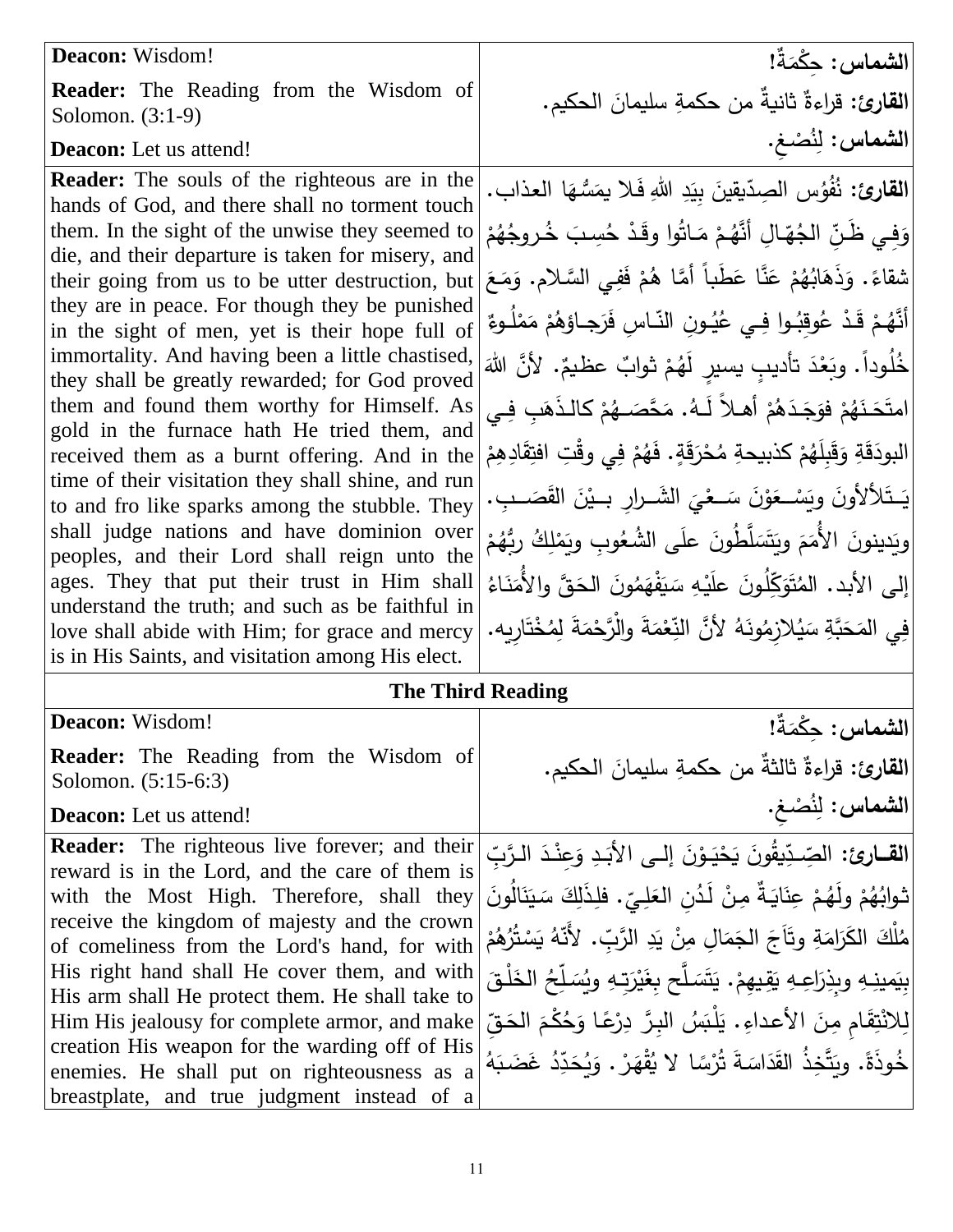| Deacon: Wisdom!                                                                                                                                                                                                                                                                                                                                                                                                                                                                                                                                                                                                                                                                                                                                                                                                                                                                  | الشماس: حِكْمَةٌ!                                                                                                                                                                                                                                                                                                                                                                                                                                                                                                                                                                                                                                                                                                                                       |
|----------------------------------------------------------------------------------------------------------------------------------------------------------------------------------------------------------------------------------------------------------------------------------------------------------------------------------------------------------------------------------------------------------------------------------------------------------------------------------------------------------------------------------------------------------------------------------------------------------------------------------------------------------------------------------------------------------------------------------------------------------------------------------------------------------------------------------------------------------------------------------|---------------------------------------------------------------------------------------------------------------------------------------------------------------------------------------------------------------------------------------------------------------------------------------------------------------------------------------------------------------------------------------------------------------------------------------------------------------------------------------------------------------------------------------------------------------------------------------------------------------------------------------------------------------------------------------------------------------------------------------------------------|
| <b>Reader:</b> The Reading from the Wisdom of<br>Solomon. $(3:1-9)$                                                                                                                                                                                                                                                                                                                                                                                                                                                                                                                                                                                                                                                                                                                                                                                                              | ا <b>لقارئ:</b> قراءةٌ ثانيةٌ من حكمةِ سليمانَ الحكيم.                                                                                                                                                                                                                                                                                                                                                                                                                                                                                                                                                                                                                                                                                                  |
| <b>Deacon:</b> Let us attend!                                                                                                                                                                                                                                                                                                                                                                                                                                                                                                                                                                                                                                                                                                                                                                                                                                                    | الشماس: لِنُصْغ.                                                                                                                                                                                                                                                                                                                                                                                                                                                                                                                                                                                                                                                                                                                                        |
| <b>Reader:</b> The souls of the righteous are in the<br>hands of God, and there shall no torment touch<br>them. In the sight of the unwise they seemed to<br>die, and their departure is taken for misery, and<br>their going from us to be utter destruction, but<br>they are in peace. For though they be punished<br>in the sight of men, yet is their hope full of<br>immortality. And having been a little chastised,<br>they shall be greatly rewarded; for God proved<br>them and found them worthy for Himself. As<br>gold in the furnace hath He tried them, and<br>received them as a burnt offering. And in the<br>time of their visitation they shall shine, and run<br>to and fro like sparks among the stubble. They<br>shall judge nations and have dominion over<br>peoples, and their Lord shall reign unto the<br>ages. They that put their trust in Him shall | القارئ: نُفُوُسِ الصِدّيقينَ بِيَدِ اللهِ فَلا يمَسُّهَا العذابِ.<br>وَفِي ظَنِّ الْجُهَّالِ أَنَّهُمْ مَاتُوا وِقَدْ حُسِبَ خُروجُهُمْ<br>شقاءً. وَذَهَابُهُمْ عَنَّا عَطَباً أَمَّا هُمْ فَفِي السَّلامِ. وَمَعَ<br>أَنَّهُمْ قَدْ عُوقِبُوا فِي عُيُـونِ النّـاسِ فَرَجـاؤهُمْ مَمْلُـوءٌ<br>خُلُوداً. وبَعْدَ تأديبِ يسير لَهُمْ ثوابٌ عظيمٌ. لأنَّ اللهَ<br>امتَحَـٰنَهُمْ فوَجَـٰدَهُمْ أَهـلاً لَـهُ. مَحَّصَــهُمْ كالـذَهَبِ فِـى<br>البودَقَةِ وَقَبِلَهُمْ كذبيحةِ مُحْرَقَةٍ. فَهُمْ فِي وقْتِ افتِقَادِهِمْ<br>يَـتَلألأونَ ويَسْـعَوْنَ سَــعْيَ الشَــرارِ بــيْنَ القَصَــبِ.<br>ويَدينونَ الأُمَمَ ويَتَسَلَّطُونَ علَى الشُعُوبِ ويَمْلِكُ ربُّهُمْ<br>إِلَى الأَبِدِ. الْمُتَوَكِّلُونَ علَيْهِ سَيَفْهَمُونَ الْحَقَّ وِالأُمَنَاءُ |
| understand the truth; and such as be faithful in<br>love shall abide with Him; for grace and mercy<br>is in His Saints, and visitation among His elect.                                                                                                                                                                                                                                                                                                                                                                                                                                                                                                                                                                                                                                                                                                                          | فِي المَحَبَّةِ سَيُلازِمُونَهُ لأَنَّ النِّعْمَةَ والْزَّحْمَةَ لِمُخْتَارِيه.                                                                                                                                                                                                                                                                                                                                                                                                                                                                                                                                                                                                                                                                         |
|                                                                                                                                                                                                                                                                                                                                                                                                                                                                                                                                                                                                                                                                                                                                                                                                                                                                                  | <b>The Third Reading</b>                                                                                                                                                                                                                                                                                                                                                                                                                                                                                                                                                                                                                                                                                                                                |
| Deacon: Wisdom!                                                                                                                                                                                                                                                                                                                                                                                                                                                                                                                                                                                                                                                                                                                                                                                                                                                                  | الشماس: حِكْمَةٌ!                                                                                                                                                                                                                                                                                                                                                                                                                                                                                                                                                                                                                                                                                                                                       |
| <b>Reader:</b> The Reading from the Wisdom of<br>Solomon. (5:15-6:3)                                                                                                                                                                                                                                                                                                                                                                                                                                                                                                                                                                                                                                                                                                                                                                                                             | القارئ: قراءةٌ ثالثةٌ من حكمةِ سليمانَ الحكيم.                                                                                                                                                                                                                                                                                                                                                                                                                                                                                                                                                                                                                                                                                                          |

**Deacon:** Let us attend!

**Reader:** The righteous live forever; and their reward is in the Lord, and the care of them is with the Most High. Therefore, shall they receive the kingdom of majesty and the crown of comeliness from the Lord's hand, for with His right hand shall He cover them, and with His arm shall He protect them. He shall take to Him His jealousy for complete armor, and make creation His weapon for the warding off of His enemies. He shall put on righteousness as a breastplate, and true judgment instead of a

ال<mark>شماس:</mark> لِنُصْغِ. ا**لقــارئ:** الصِّـدِّيقُونَ .<br>-ِّسْدِّ الصِّدِّيقُونَ يَحْيَـوْنَ إلــى الأَبَـدِ وَعِنْـدَ الـرَّبِّ يَحْيَـوْنَ إلــى الأَبَـدِ وَعِنْـدَ الـرَّبِّ  $\ddot{ }$ .<br>-<br>-َ .<br>أ <u>َ</u> <u>ٔ</u> ٔ. <u>ٔ</u> .<br>-. فلِذَلِكَ سَيَنَالُونَ َ .<br>ا َ .<br>. ثوابُهُمْ ولَهُمْ عِنَايَةٌ مِنْ لَدُنِ العَلِيِّ َ .<br>- $\ddot{ }$ اب<br>ا ْ ْ ْ مُلْكَ الكَرَامَةِ وتَأَجَ الجَمَالِ مِنْ يَدِ الرَّبِّ. لأَنَّهُ يَسْتُرُهُمْ ْ َبا .<br>-ا<br>ا ֺ֧<sup>֓</sup> ੍ ׇֺ֖֖֖֖֖ׅ֖֧ׅׅ֧ׅׅ֖֧ׅ֖֧ׅ֖֧ׅ֖֧ׅ֧֧ׅׅ֧֧֪ׅ֧ׅ֧ׅ֧֧֚֚֚֚֚֚֚֚֚֚֚֚֚֚֚֚֚֚֚֚֚֚֚֚֚֚֚֚֚֚֚֚֚֚֡֝֝֝֝֝֬֝֡֡֬֝֬<br>֧֪֪֪֪֪֪֪֪֪֪֪֪֪֪֪֪֚֜֝֞֝ َ بِيَمينِهِ وبِذِرَاعِهِ يَقِيهِمْ. يَتَسَلَّح بِغَيْرَتِهِ ويُسَلِّحُ الْخَلْقَ .<br>م .<br>و َ َبَا<br>با ْ  $\ddot{ }$  $\overline{\phantom{a}}$ َ لّ لِلاَنْتِقَامِ مِنَ الأعداءِ . يَلْبَسُ البِرَّ دِرْعًا وَحُكْمَ الْحَقِّ مُ َ  $\ddot{\phantom{0}}$ ْ ِّدُ غَضَبَهُ َ ً<br>أ خُوذَةً. ويَتَّخِذُ القَدَاسَةَ تُرْسًا لا يُقْهَرْ . وَيُحَدِّ َ َ **ٔ**  $\epsilon$ ً<br>ب .<br>-

<u>َ</u>ـٰ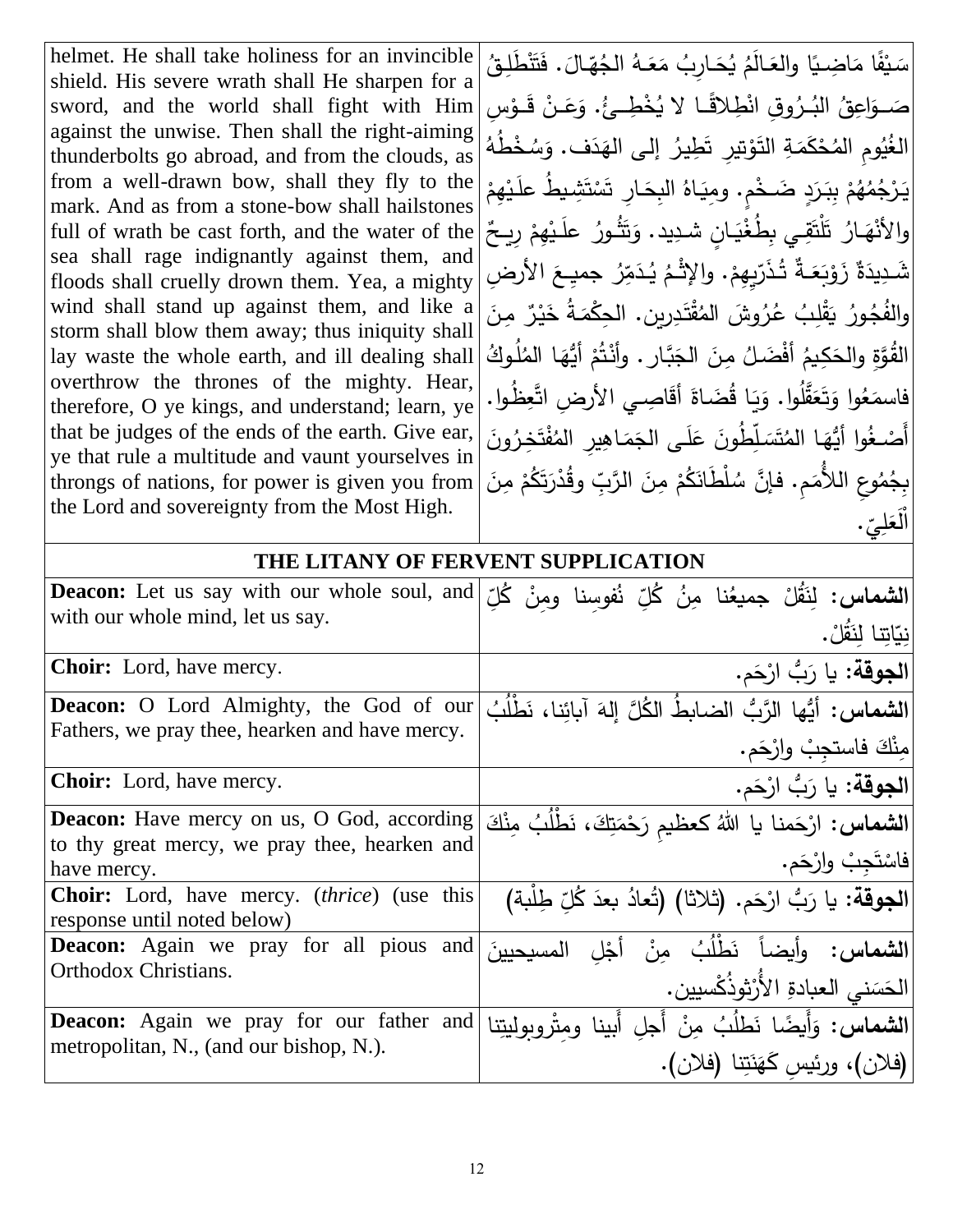helmet. He shall take holiness for an invincible shield. His severe wrath shall He sharpen for a sword, and the world shall fight with Him against the unwise. Then shall the right-aiming thunderbolts go abroad, and from the clouds, as from a well-drawn bow, shall they fly to the mark. And as from a stone-bow shall hailstones full of wrath be cast forth, and the water of the sea shall rage indignantly against them, and floods shall cruelly drown them. Yea, a mighty wind shall stand up against them, and like a storm shall blow them away; thus iniquity shall lay waste the whole earth, and ill dealing shall overthrow the thrones of the mighty. Hear, therefore, O ye kings, and understand; learn, ye that be judges of the ends of the earth. Give ear, ye that rule a multitude and vaunt yourselves in throngs of nations, for power is given you from the Lord and sovereignty from the Most High.

سَيْفًا مَاضِيًا والعَالَمُ يُحَارِبُ مَعَهُ الْجُهّالَ. فَتَنْطَلِقُ ֡<u>֚</u> <u>َ</u> َ  $\overline{a}$ َ ً<br>ً َ َ ֦֘<u>֦</u> صَــوَاعِقُ البُـرُوقِ انْطِلاقًـا لا يُخْطِــئُ. وَعَـنْ قَــوْسِ ֡<u>֚</u> ؛<br>' َ الغُيُومِ المُحْكَمَةِ التَوْتيرِ تَطِيرُ إلى الهَدَف. وَسُخْطُهُ ءِ<br>ُ  $\epsilon$ <u>بَ</u> ْ <u>ٔ</u> ْ **پ**مُ <u>ٔ</u> َ ي يط عل ِ َشاا ت ْ ءَ و<br>نسا اِر ت َ هُمْ بِبَرَدٍ ضَخْمٍ. ومِيَاهُ البِحَــ <u>َ:</u> ْ ا<br>ا ء<br>م **∶** <sub>ْ</sub> ؘ<br>ؾۯ يا ارُ تَلْتَقِي بِطُغْيَانٍ شدِيد. وَتَثُورُ علَـيْهِمْ رِيـحٌ ْ <u>ٔ</u> .<br>أ َ  $\ddot{ }$ ْ  $\triangleleft$  $\ddot{\bullet}$ والأذ شَدِيدَةٌ زَوْبَعَـةٌ تُذَرّيِهِمْ. والإِثْـمُ يُدَمِّرُ جميِـعَ الأرضِ ْ ْ .<br>-ِينَ ما ٌ .<br>بر يا َ ورُ يَقْلِبُ عُرُوشَ المُقْتَدِرينِ. الحِكْمَةُ خَ ً<br>ٌ <u>ّة</u> ُ ُجا والف القُوَّةِ والحَكِيمُ أفْضَلُ مِنَ الجَبَّارِ . وأَنْتُمْ أَيُّهَا الْمُلُوكُ َ ْ <u>ا</u> ֺ֧<sup>ׅ</sup> .<br>-ُظاوا. ِ ي األر ِض اتَّعِ اصا أق اة ُضا ا ق يا ُوا. و ل قَّ َ َع ت َ وا و ُ ع َ فاسم <u>ة</u> َ َ  $\frac{1}{2}$ َ ا<br>ا أَصا .<br>-غُوا أَيُّهَا المُتَسَلِّطُونَ عَلَى الجَمَاهِيرِ المُفْتَخِرُونَ<br>\*  $\ddot{\bf s}$ ا<br>ا َ َ لّ ـا<br>ا .<br>-مُوعِ اللأُمَمِ. فإنَّ سُلْطَانَكُمْ مِنَ الرَّبِّ وقُدْرَتَكُمْ مِنَ ْ .<br>م .<br>-ْ ُ ِبج . **∶** ِ<br>چ ل َ َع ْل ا

### **THE LITANY OF FERVENT SUPPLICATION**

| <b>Deacon:</b> Let us say with our whole soul, and<br>with our whole mind, let us say.                     | ا <b>لشماس:</b> لِنَقُلْ جميعُنا مِنُ كُلِّ نُفوسِنا ومِنْ كُلِّ<br>نِيّاتِنا لنَقُلْ.               |
|------------------------------------------------------------------------------------------------------------|------------------------------------------------------------------------------------------------------|
| <b>Choir:</b> Lord, have mercy.                                                                            | ا <b>لجوقة:</b> يا رَبُّ ارْحَم.                                                                     |
| <b>Deacon:</b> O Lord Almighty, the God of our<br>Fathers, we pray thee, hearken and have mercy.           | ا <b>لشماس:</b> أيُّها الرَّبُّ الضابطُ الكُلَّ إلهَ آبائنا، نَطْلُبُ<br> مِنْكَ فاستجِبْ وارْحَم.   |
| <b>Choir:</b> Lord, have mercy.                                                                            | الجوقة: يا رَبُّ ارْحَم.                                                                             |
| Deacon: Have mercy on us, O God, according<br>to thy great mercy, we pray thee, hearken and<br>have mercy. | ا <b>لشماس:</b> ارْحَمنا يا اللهُ كعظيم رَحْمَتِكَ، نَطْلُبُ مِنْكَ<br>فاسْتَجِبْ وارْجَم.           |
| <b>Choir:</b> Lord, have mercy. <i>(thrice)</i> (use this<br>response until noted below)                   | ا <b>لجوقة</b> : يا رَبُّ ارْحَم. (ثلاثا) (تُعادُ بعدَ كُلّ طِلْبة)                                  |
| <b>Deacon:</b> Again we pray for all pious and<br>Orthodox Christians.                                     | ا <b>لشماس:</b> وأيضاً نَطْلُبُ مِنْ أَجْلِ<br>المسحسنَ<br>الحَسَنى العبادةِ الأَرْثوذُكْسيين.       |
| <b>Deacon:</b> Again we pray for our father and<br>metropolitan, N., (and our bishop, N.).                 | ا <b>لشماس:</b> وَأَيضًا نَطْلُبُ مِنْ أَجلِ أَبينا ومثْروبوليتِنا<br>(فلان)، ورئيس كَهَنَتِنا (فلان |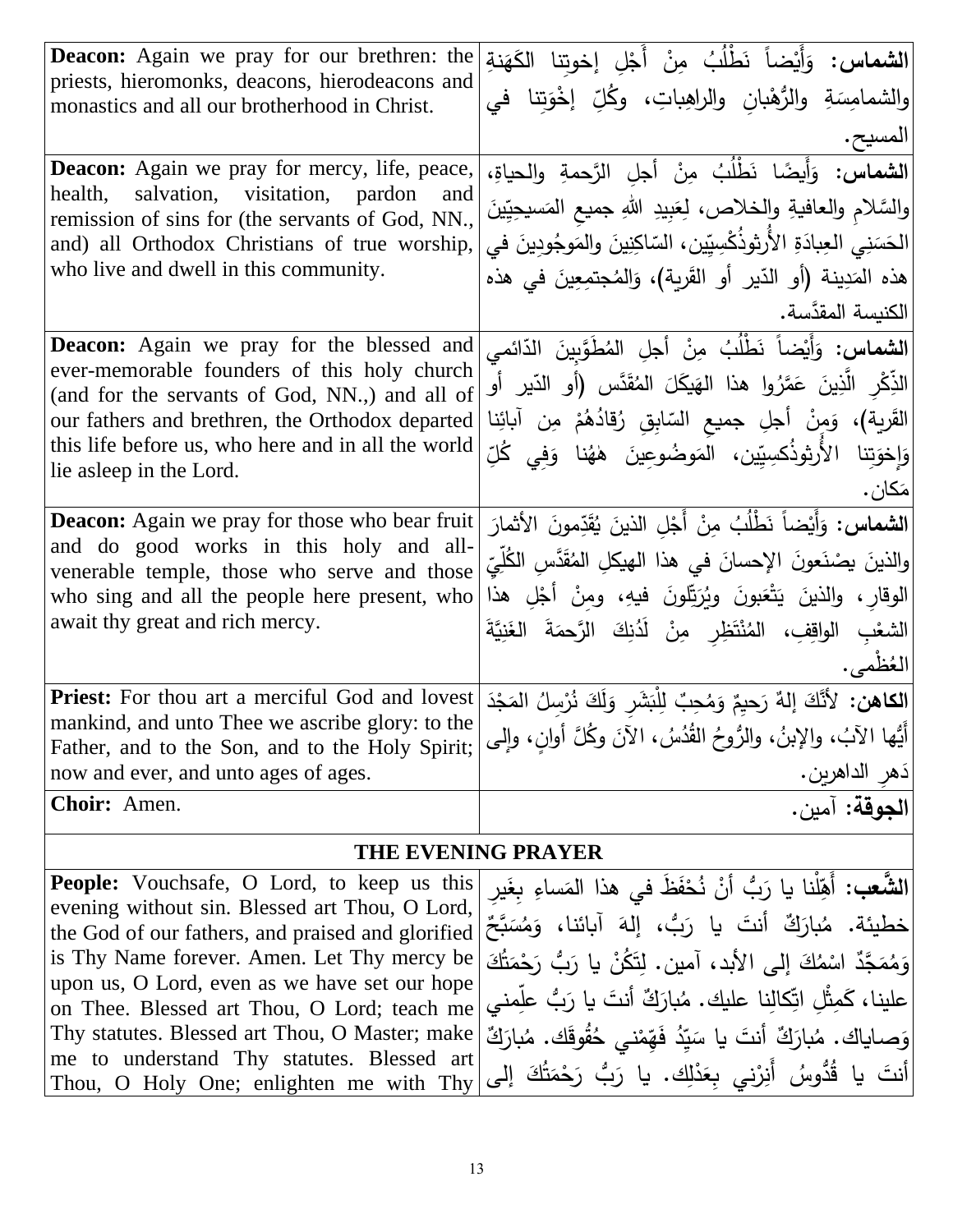| <b>Deacon:</b> Again we pray for our brethren: the<br>priests, hieromonks, deacons, hierodeacons and<br>monastics and all our brotherhood in Christ.                                                                                                                                  | <b>الشماس:</b> وَأَيْضاً نَطْلُبُ مِنْ أَجْلِ إخوتِنا الكَهَنةِ<br>والشمامِسَةِ والرُّهْبانِ والراهِباتِ، وكُلِّ إخْوَتِنا في<br>المسيح.                                                                                                                                                                |
|---------------------------------------------------------------------------------------------------------------------------------------------------------------------------------------------------------------------------------------------------------------------------------------|---------------------------------------------------------------------------------------------------------------------------------------------------------------------------------------------------------------------------------------------------------------------------------------------------------|
| <b>Deacon:</b> Again we pray for mercy, life, peace,<br>health, salvation, visitation, pardon<br>and<br>remission of sins for (the servants of God, NN.,<br>and) all Orthodox Christians of true worship,<br>who live and dwell in this community.                                    | الشماس: وَأَيضًا نَطْلُبُ مِنْ أجلِ الرَّحمةِ والحياةِ،<br>والسَّلام والعافيةِ والخلاص، لِعَبِيدِ اللهِ جميع المَسيحِيِّينَ<br>الحَسَنِي العِبادَةِ الأَرثوذُكْسِيِّين، السّاكِنِينَ والمَوجُودِينَ في<br> هذه المَدِينة (أو الدّير أو القَرية)، وَالمُجتمِعِينَ في هذه<br> الكنيسة المقدَّسة.          |
| <b>Deacon:</b> Again we pray for the blessed and<br>ever-memorable founders of this holy church<br>(and for the servants of God, NN.,) and all of<br>our fathers and brethren, the Orthodox departed<br>this life before us, who here and in all the world<br>lie asleep in the Lord. | <b>الشماس:</b> وَأَيْضاً نَطْلُبُ مِنْ أجلِ المُطْوَّبينَ الدّائمي<br>الذِّكْرِ الَّذِينَ عَمَّرُوا هذا الهَيكَلَ المُقَدَّسِ (أَو الدّيرِ أَو<br>القَرية)، وَمِنْ أجلِ جميع السّابِقِ رُقادُهُمْ مِن أبائِنا<br> وَإِخْوَتِنا الأَرْثِوذُكْسِيِّين، الْمَوضُوعِينَ هٰهُنا وَفِي كُلِّ<br> مَكان .      |
| <b>Deacon:</b> Again we pray for those who bear fruit<br>and do good works in this holy and all-<br>venerable temple, those who serve and those<br>who sing and all the people here present, who<br>await thy great and rich mercy.                                                   | ا <b>لشماس:</b> وَأَيْضاً نَطْلُبُ مِنْ أَجْلِ الذينَ يُقَدِّمونَ الأَثمارَ<br> والذينَ يصْنَعونَ الإحسانَ في هذا الـهيكلِ المُقَدَّسِ الكُلِّيّ<br>الوقارِ ، والذينَ يَتْعَبونَ ويُرَتِّلونَ فيهِ، ومِنْ أَجْلِ هذا<br>الشعْبِ الواقِفِ، المُنْتَظِرِ مِنْ لَدُنِكَ الرَّحمَةَ الغَنِيَّةَ<br>العُظمى. |
| Priest: For thou art a merciful God and lovest<br>mankind, and unto Thee we ascribe glory: to the<br>Father, and to the Son, and to the Holy Spirit;<br>now and ever, and unto ages of ages.                                                                                          | ا <b>لكاهن:</b> لأَنَّكَ إِلهٌ رَحِيمٌ وَمُحِبٌ لِلْبَشَرِ وَلَكَ نُرْسِلُ المَجْدَ<br> أَيُّها الآبُ، والإبنُ، والرُّوحُ القُدُسُ، الآنَ وكُلَّ أوانٍ، وإلى<br> دَهرِ الداهريِن.                                                                                                                       |
| Choir: Amen.                                                                                                                                                                                                                                                                          | الجوقة: آمين.                                                                                                                                                                                                                                                                                           |
|                                                                                                                                                                                                                                                                                       | <b>THE EVENING PRAYER</b>                                                                                                                                                                                                                                                                               |
| <b>People:</b> Vouchsafe, O Lord, to keep us this<br>$t \sin \theta$ lossed on Thou $\theta$ Le                                                                                                                                                                                       | <b>الشَّعب:</b> أَهِّلُنا يا رَبُّ أَنْ نُحْفَظَ في هذا المَساءِ بغَير                                                                                                                                                                                                                                  |

خطيئة. مُبارَكٌ أَنتَ يا رَبُّ، إِلَهَ أَبائنا، وَمُسَبَّحٌ the God of our fathers, and praised and glorified ً<br>ب َ ا<br>ا ີ<br>. evening without sin. Blessed art Thou, O Lord, is Thy Name forever. Amen. Let Thy mercy be upon us, O Lord, even as we have set our hope on Thee. Blessed art Thou, O Lord; teach me Thy statutes. Blessed art Thou, O Master; make me to understand Thy statutes. Blessed art Thou, O Holy One; enlighten me with Thy

َ ا<br>ا لِّلنا يا رَبُّ أَنْ نُحْفَظ في هذا المَه <u>ٔ</u> .<br>-ٔ .<br>م َ َ ُك ت م َح ب ر يا ر ُن َك ت ِ إلى األبد، آمين. ل َ ُك م اس ٌ َّجد َ م ُ م َ و .<br>م .<br>-**ٔ** علينا، كَمِثْلِ اتِّكالِنا عليك. مُبارَكٌ أنتَ يا رَبُّ علِّمني<br>. .<br>م <u>ً</u> وَصاياك. مُبارَكٌ أَنتَ يا سَيِّدُ فَهِّمْني حُقُوقَك. مُبارَكٌ ۖ<br>وَ ا<br>ا ـ<br>. أنتَ يا قُدُّوسُ أَنِرْني بِعَدْلِك. يا رَبُّ رَحْمَتُكَ إلى َ ً<br>-ْ <u>ً</u> .<br>-<u>ً</u> <u>ٰ</u>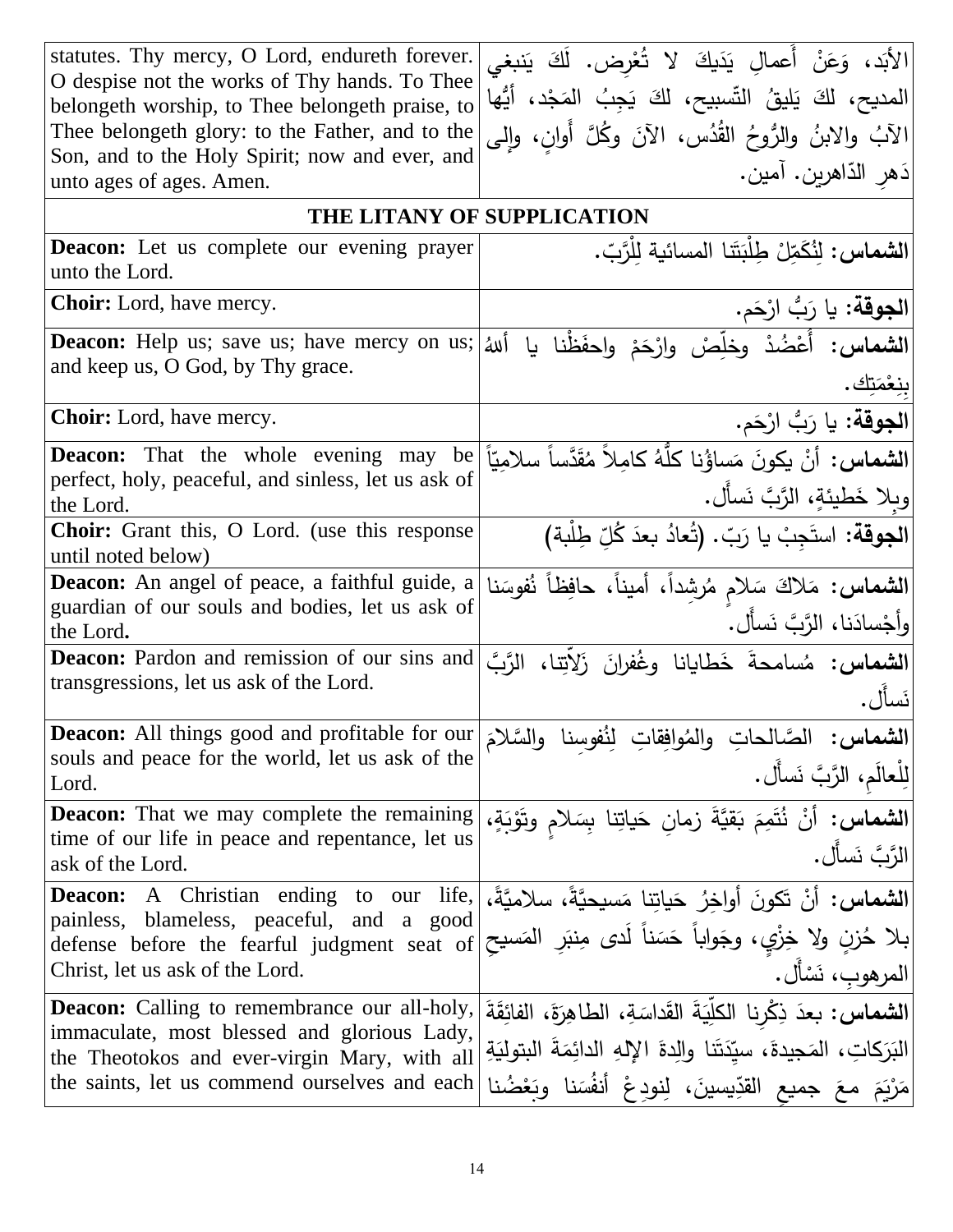| statutes. Thy mercy, O Lord, endureth forever.<br>O despise not the works of Thy hands. To Thee<br>belongeth worship, to Thee belongeth praise, to<br>Thee belongeth glory: to the Father, and to the<br>Son, and to the Holy Spirit; now and ever, and<br>unto ages of ages. Amen. | الأَبَد، وَعَنْ أَعمالِ يَدَيكَ لا تُعْرِض. لَكَ يَنبغي<br>المديح، لكَ يَليقُ النِّسبيح، لكَ يَجِبُ المَجْد، أَيُّها<br>[الآبُ والابنُ والرُّوحُ القُدُس، الآنَ وكُلَّ أَوانِ، وإلى<br>دَهر الدّاهرين. آمين.       |
|-------------------------------------------------------------------------------------------------------------------------------------------------------------------------------------------------------------------------------------------------------------------------------------|--------------------------------------------------------------------------------------------------------------------------------------------------------------------------------------------------------------------|
| THE LITANY OF SUPPLICATION                                                                                                                                                                                                                                                          |                                                                                                                                                                                                                    |
| <b>Deacon:</b> Let us complete our evening prayer<br>unto the Lord.                                                                                                                                                                                                                 | الشماس: لِنُكَمِّلْ طِلْبَتَنا المسائية لِلْرَّبِّ.                                                                                                                                                                |
| <b>Choir:</b> Lord, have mercy.                                                                                                                                                                                                                                                     | ا <b>لجوقة:</b> يا رَبُّ ارْحَم.                                                                                                                                                                                   |
| <b>Deacon:</b> Help us; save us; have mercy on us;<br>and keep us, O God, by Thy grace.                                                                                                                                                                                             | الشماس: أُعْضُدْ وخلِّصْ وارْحَمْ واحفَظْنا<br>أللهُ<br>بنِعْمَتِك.                                                                                                                                                |
| <b>Choir:</b> Lord, have mercy.                                                                                                                                                                                                                                                     | ا <b>لجوقة:</b> يا رَبُّ ارْحَم.                                                                                                                                                                                   |
| <b>Deacon:</b> That the whole evening may<br>be<br>perfect, holy, peaceful, and sinless, let us ask of<br>the Lord.                                                                                                                                                                 | الشماس: أَنْ يكونَ مَساؤُنا كلُّهُ كامِلاً مُقَدَّساً سلاميّاً<br>وبلا خَطيئةٍ، الرَّبَّ نَسأَل.                                                                                                                   |
| Choir: Grant this, O Lord. (use this response<br>until noted below)                                                                                                                                                                                                                 | الجوقة: استَجِبْ يا رَبّ. (تُعادُ بِعدَ كُلّ طِلْبة)                                                                                                                                                               |
| <b>Deacon:</b> An angel of peace, a faithful guide, a<br>guardian of our souls and bodies, let us ask of<br>the Lord.                                                                                                                                                               | <b>الشماس:</b> مَلاكَ سَلامِ مُرشِداً، أميناً، حافِظاً نُفوسَنا<br> وأجْسادَنا، الرَّبَّ نَسأَل.                                                                                                                   |
| <b>Deacon:</b> Pardon and remission of our sins and<br>transgressions, let us ask of the Lord.                                                                                                                                                                                      | الشماس: مُسامحةَ خَطايانا وغُفرانَ زَلاَّتِنا، الرَّبَّ<br>انَسأل.                                                                                                                                                 |
| souls and peace for the world, let us ask of the<br>Lord.                                                                                                                                                                                                                           | الشماس: الحَسَالحاتِ والمُوافِقاتِ لِنُفوسنا والسَّلامَ Deacon: All things good and profitable for our<br>لِلْعالَمِ، الزَّبَّ نَسأَل.                                                                             |
| <b>Deacon:</b> That we may complete the remaining<br>time of our life in peace and repentance, let us<br>ask of the Lord.                                                                                                                                                           | الشماس: أَنْ نُتَمِمَ بَقيَّةَ زمانِ حَياتِنا بِسَلامِ وتَوْبَةٍ،<br>الرَّبَّ نَسأل.                                                                                                                               |
| A Christian ending to our<br>life,<br><b>Deacon:</b><br>painless, blameless, peaceful, and a good<br>defense before the fearful judgment seat of<br>Christ, let us ask of the Lord.                                                                                                 | ا <b>لشماس:</b> أَنْ تَكونَ أُواخِرُ حَياتِنا مَسيحيَّةً، سلاميَّةً،<br>بلا حُزنِ ولا خِزْي، وجَواباً حَسَناً لَدى مِنبَرِ المَسيحِ<br> المرهوبِ، نَسْأَل.                                                         |
| <b>Deacon:</b> Calling to remembrance our all-holy,<br>immaculate, most blessed and glorious Lady,<br>the Theotokos and ever-virgin Mary, with all<br>the saints, let us commend ourselves and each                                                                                 | الشماس: بعدَ ذِكْرِنا الكلِّيَةَ القَداسَةِ، الطاهِرَةَ، الفائِقَةَ<br>الْبَرَكَاتِ، الْمَجِيدةَ، سيّدَتَنا والِدةَ الإِلهِ الدائِمَةَ البِتولِيَةِ<br>مَرْيَمَ معَ جميع القدِّيسينَ، لِنودِعْ أَنفُسَنا وبَعْضُنا |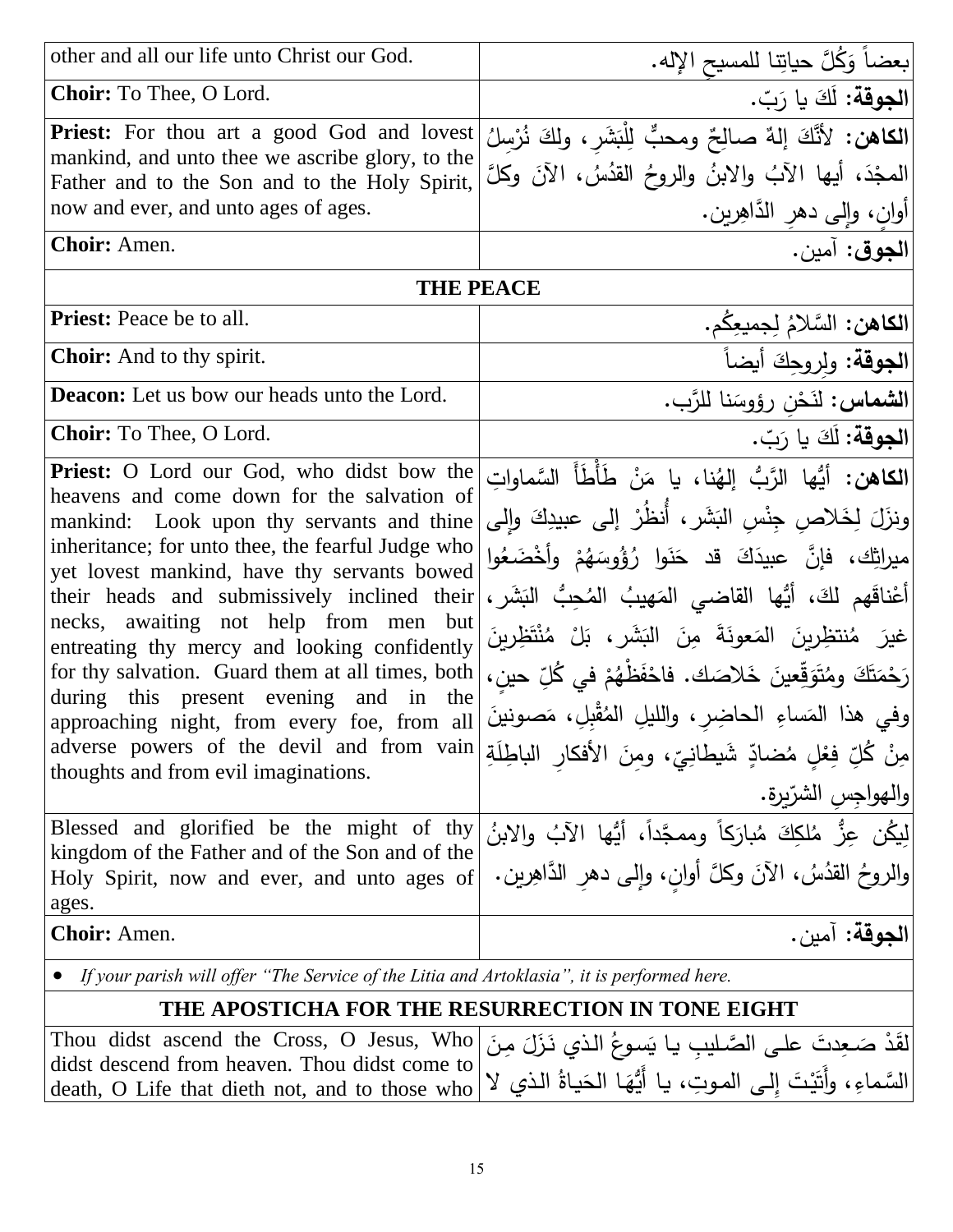| other and all our life unto Christ our God.                                                                                                                                                                                                                                                                                                                                                                                                                                                                                                                                                                               | بعضاً وَكُلَّ حياتِنا للمسيح الإِله.                                                                                                                                                                                                                                                                                                                                                                                                                                                                                                                           |
|---------------------------------------------------------------------------------------------------------------------------------------------------------------------------------------------------------------------------------------------------------------------------------------------------------------------------------------------------------------------------------------------------------------------------------------------------------------------------------------------------------------------------------------------------------------------------------------------------------------------------|----------------------------------------------------------------------------------------------------------------------------------------------------------------------------------------------------------------------------------------------------------------------------------------------------------------------------------------------------------------------------------------------------------------------------------------------------------------------------------------------------------------------------------------------------------------|
| Choir: To Thee, O Lord.                                                                                                                                                                                                                                                                                                                                                                                                                                                                                                                                                                                                   | الجوقة: لَكَ يا رَبّ.                                                                                                                                                                                                                                                                                                                                                                                                                                                                                                                                          |
| <b>Priest:</b> For thou art a good God and lovest<br>mankind, and unto thee we ascribe glory, to the<br>Father and to the Son and to the Holy Spirit,<br>now and ever, and unto ages of ages.                                                                                                                                                                                                                                                                                                                                                                                                                             | الكاهن: لأَنَّكَ إِلهٌ صالِحٌ ومحبٌّ لِلْبَشَرِ، ولِكَ نُرْسِلُ<br>المعجْدَ، أيها الآبُ والابنُ والروحُ القدُسُ، الآنَ وكلَّ<br>أوانِ، وإلى دهرِ الدَّاهِرينِ.                                                                                                                                                                                                                                                                                                                                                                                                 |
| Choir: Amen.                                                                                                                                                                                                                                                                                                                                                                                                                                                                                                                                                                                                              | ا <b>لجوق</b> : آمين.                                                                                                                                                                                                                                                                                                                                                                                                                                                                                                                                          |
| <b>THE PEACE</b>                                                                                                                                                                                                                                                                                                                                                                                                                                                                                                                                                                                                          |                                                                                                                                                                                                                                                                                                                                                                                                                                                                                                                                                                |
| <b>Priest:</b> Peace be to all.                                                                                                                                                                                                                                                                                                                                                                                                                                                                                                                                                                                           | الكاهن: السَّلامُ لِجميعِكُم.                                                                                                                                                                                                                                                                                                                                                                                                                                                                                                                                  |
| <b>Choir:</b> And to thy spirit.                                                                                                                                                                                                                                                                                                                                                                                                                                                                                                                                                                                          | ا <b>لجوقة</b> : ولروجِكَ أيضاً                                                                                                                                                                                                                                                                                                                                                                                                                                                                                                                                |
| <b>Deacon:</b> Let us bow our heads unto the Lord.                                                                                                                                                                                                                                                                                                                                                                                                                                                                                                                                                                        | الشماس: لذَحْنِ رؤوسَنا للرَّبِ.                                                                                                                                                                                                                                                                                                                                                                                                                                                                                                                               |
| Choir: To Thee, O Lord.                                                                                                                                                                                                                                                                                                                                                                                                                                                                                                                                                                                                   | الجوقة: لَكَ يا رَبّ.                                                                                                                                                                                                                                                                                                                                                                                                                                                                                                                                          |
| <b>Priest:</b> O Lord our God, who didst bow the<br>heavens and come down for the salvation of<br>mankind: Look upon thy servants and thine<br>inheritance; for unto thee, the fearful Judge who<br>yet lovest mankind, have thy servants bowed<br>their heads and submissively inclined their<br>necks, awaiting not help from men but<br>entreating thy mercy and looking confidently<br>for thy salvation. Guard them at all times, both<br>during this present evening and in the<br>approaching night, from every foe, from all<br>adverse powers of the devil and from vain<br>thoughts and from evil imaginations. | <b>الكاهن:</b> أيُّها الرَّبُّ إلهُنا، يا مَنْ طَأَطَأَ السَّماواتِ<br> ونزَلَ لِخَلاص جِنْس البَشَرِ ، أَنظُرْ ۖ إِلَى عبيدِكَ وإِلَى<br>ميراثِك، فإنَّ عبيدَكَ قد حَنَوا رُؤُوسَهُمْ وأَخْضَعُوا<br> أَعْناقَهم لكَ، أَيُّها القاضـى المَهيبُ المُحِبُّ البَشَرِ،<br>عْيرَ مُنتظِرِينَ المَعونَةَ مِنَ البَشَرِ، بَلْ مُنْتَظِرِينَ<br> رَحْمَتَكَ ومُتَوَقِّعينَ خَلاصَكَ. فاحْفَظْهُمْ في كُلِّ حين،<br>[وفي هذا المَساءِ الحاضِرِ، والليلِ المُقْبِلِ، مَصونينَ<br>ٰمِنْ كُلِّ فِعْلٍ مُضادٍّ شَيطانِيِّ، ومِنَ الأفكار الباطِلَةِ<br> والهواجس الشرّبرة. |
| Blessed and glorified be the might of thy<br>kingdom of the Father and of the Son and of the<br>Holy Spirit, now and ever, and unto ages of<br>ages.                                                                                                                                                                                                                                                                                                                                                                                                                                                                      | لِيكُن عِزٌّ مُلكِكَ مُبارَكاً وممجَّداً، أَيُّها الآبُ والابنُ<br>والروحُ القدُسُ، الآنَ وكلَّ أوانٍ، وإلى دهرِ الدَّاهِرينِ.                                                                                                                                                                                                                                                                                                                                                                                                                                 |
| <b>Choir:</b> Amen.                                                                                                                                                                                                                                                                                                                                                                                                                                                                                                                                                                                                       | الجوقة: آمين.                                                                                                                                                                                                                                                                                                                                                                                                                                                                                                                                                  |
| If your parish will offer "The Service of the Litia and Artoklasia", it is performed here.                                                                                                                                                                                                                                                                                                                                                                                                                                                                                                                                |                                                                                                                                                                                                                                                                                                                                                                                                                                                                                                                                                                |
| THE APOSTICHA FOR THE RESURRECTION IN TONE EIGHT                                                                                                                                                                                                                                                                                                                                                                                                                                                                                                                                                                          |                                                                                                                                                                                                                                                                                                                                                                                                                                                                                                                                                                |
| Thou didst ascend the Cross, O Jesus, Who<br>didst descend from heaven. Thou didst come to<br>death, O Life that dieth not, and to those who                                                                                                                                                                                                                                                                                                                                                                                                                                                                              | لقذ صَعِدتَ على الصَّليبِ يا يَسوعُ الذي نَزَلَ مِنَ<br> السَّماءِ، وأَتَيْتَ إلى الموتِ، يا أَيُّهَا الحَياةُ الذي لا                                                                                                                                                                                                                                                                                                                                                                                                                                         |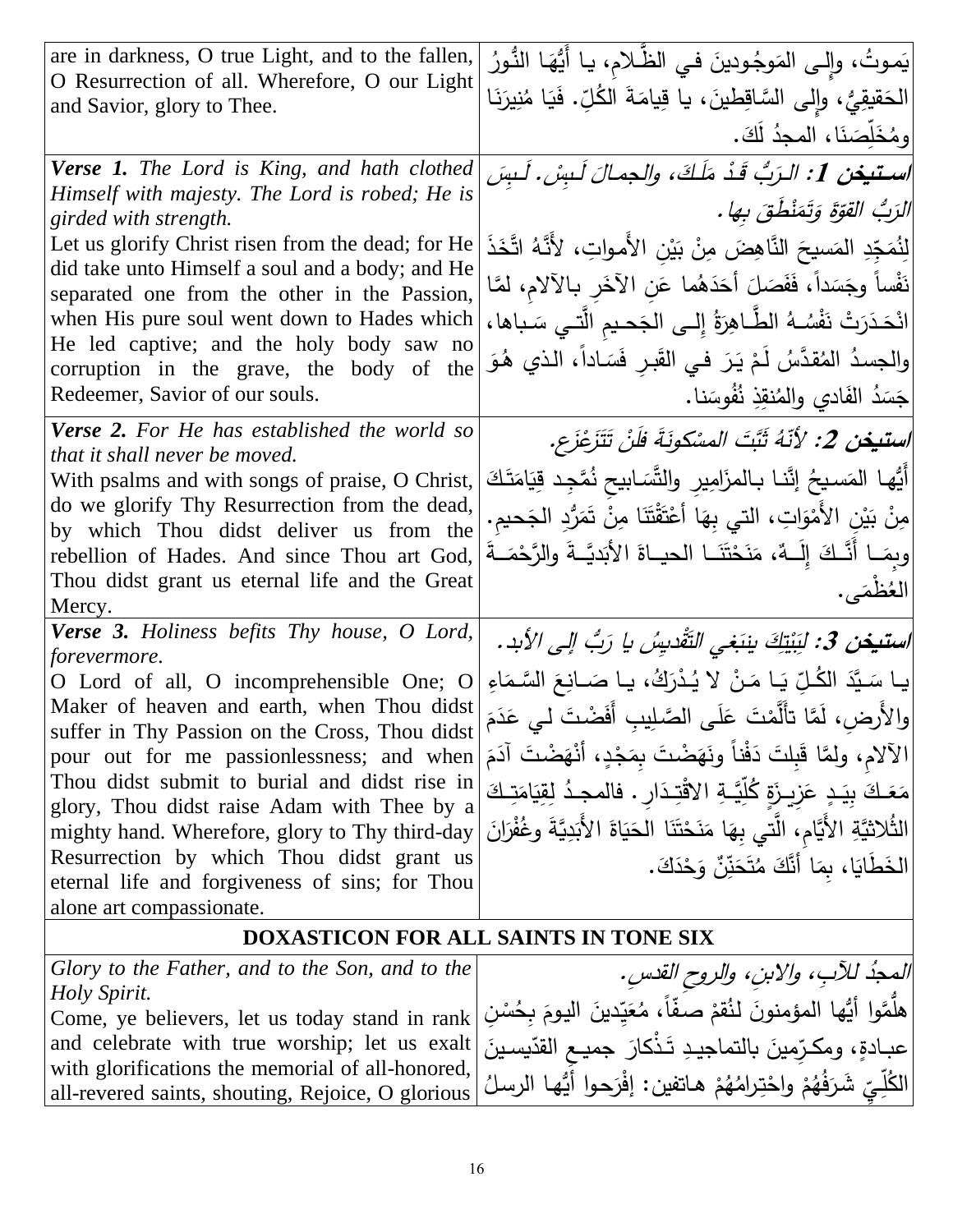| are in darkness, O true Light, and to the fallen,<br>O Resurrection of all. Wherefore, O our Light | يَموتُ، وإِلـى المَوجُودينَ فـي الظّـلام، يـا أَيُّهَـا النُّـورُ                     |
|----------------------------------------------------------------------------------------------------|---------------------------------------------------------------------------------------|
| and Savior, glory to Thee.                                                                         | الْحَقيقِيُّ، وإِلى السَّاقِطينَ، يا قِيامَةَ الْكُلِّ. فَيَا مُنِيرَنَا              |
|                                                                                                    | ومُخَلِّصَنَا، المجدُ لَكَ.                                                           |
| <b>Verse 1.</b> The Lord is King, and hath clothed                                                 | اسـتيخن 1: الـرَبُّ قَـدْ مَلَكَ، والجمـالَ لَـبسْ. لَـبسَ                            |
| Himself with majesty. The Lord is robed; He is<br>girded with strength.                            | الرَبُّ القوَّةَ وَتَمَنْظَقَ بِها.                                                   |
| Let us glorify Christ risen from the dead; for He                                                  | لِنُمَجِّدِ المَسيحَ النَّاهِضَ مِنْ بَيْنِ الأَمواتِ، لأَنَّهُ اتَّخَذَ              |
| did take unto Himself a soul and a body; and He                                                    | نَفْساً وجَسَداً، فَفَصَلَ أَحَدَهُما عَنِ الآخَرِ بِالآلامِ، لمَّا                   |
| separated one from the other in the Passion,<br>when His pure soul went down to Hades which        | انْحَدَرَتْ نَفْسُهُ الطَّـاهِرَةُ إِلـى الجَحـيم الَّتـي سَـباها،                    |
| He led captive; and the holy body saw no                                                           |                                                                                       |
| corruption in the grave, the body of the                                                           | والجسدُ المُقدَّسُ لَمْ يَرَ في القَبرِ فَسَاداً، الذي هُوَ                           |
| Redeemer, Savior of our souls.                                                                     | جَسَدُ الفَادي والمُنقِذِ نُفُوسَنا.                                                  |
| <b>Verse 2.</b> For He has established the world so<br>that it shall never be moved.               | <i>استيخن 2: لأنّهُ ثَبَّتَ المسْكونَةَ فلَنْ</i> تَتَزَعْزَع.                        |
| With psalms and with songs of praise, O Christ,                                                    | أَيُّها المَسيحُ إنَّنا بـالمزَامِيرِ والنَّسَابيح نُمَّجِد قِيَامَتَكَ               |
| do we glorify Thy Resurrection from the dead,<br>by which Thou didst deliver us from the           | ٰ مِنْ بَيْنِ الأَمْوَاتِ، الّتي بِهَا أَعْتَقْتَنَا مِنْ تَمَرُّدِ الْجَحيمِ.        |
| rebellion of Hades. And since Thou art God,                                                        | وبِصَـا أَنَّـكَ إِلَــهٌ، مَنَحْتَنَــا الحيــاةَ الأَبَديَّــةَ والرَّحْمَــةَ      |
| Thou didst grant us eternal life and the Great                                                     | العُظْمَى.                                                                            |
| Mercy.<br>Verse 3. Holiness befits Thy house, O Lord,                                              |                                                                                       |
| forevermore.                                                                                       | ا <b>ستيخن 3:</b> لِبَيْتِكَ بِنِبَغِي التَّقْدِيِسُ يا رَبُّ إلى الأبد.              |
| O Lord of all, O incomprehensible One; O                                                           | يا سَيَّدَ الكُلِّ يَا مَنْ لا يُدْرَكُ، يا صَـانِعَ السَّـمَاءِ                      |
| Maker of heaven and earth, when Thou didst<br>suffer in Thy Passion on the Cross, Thou didst       | والأُرض، لَمَّا تأَلَّمْتَ عَلَى الصَّلِيبِ أَفَضْتَ لـى عَدَمَ                       |
| pour out for me passionlessness; and when                                                          | الآلام، ولمَّا قَبِلتَ دَفْناً ونَهَضْتَ بِمَجْدٍ، أَنْهَضْتَ آدَمَ                   |
| Thou didst submit to burial and didst rise in<br>glory, Thou didst raise Adam with Thee by a       | مَعَـكَ بِيَـدٍ عَزِيـزَةٍ كُلِّيَّـةِ الاقْتِـدَارِ . فالمجـدُ لِقِيَامَتِـكَ        |
| mighty hand. Wherefore, glory to Thy third-day                                                     | الثُلاثيَّةِ الأَيَّامِ، الَّتي بِهَا مَنَحْتَنَا الْحَيَاةَ الأَبَدِيَّةَ وغُفْرَانَ |
| Resurrection by which Thou didst grant us                                                          | الْخَطَايَا، بِمَا أَنَّكَ مُتَحَنِّنٌ وَحْدَكَ.                                      |
| eternal life and forgiveness of sins; for Thou<br>alone art compassionate.                         |                                                                                       |
|                                                                                                    | DOXASTICON FOR ALL SAINTS IN TONE SIX                                                 |
| Glory to the Father, and to the Son, and to the                                                    | المحدُ للآبِ، والابنِ، والروحِ القدسِ.                                                |
| <i>Holy Spirit.</i>                                                                                | هلَّمَّوا أيُّها المؤمنونَ لنُقمْ صفّاً، مُعَيّدينَ اليومَ بِحُسْنِ                   |
| Come, ye believers, let us today stand in rank<br>and celebrate with true worship; let us exalt    | عبـادةٍ، ومكـرّمينَ بالتماجيـدِ تَـذْكارَ جميـع القدّيسـينَ                           |
| with glorifications the memorial of all-honored,                                                   |                                                                                       |
| all-revered saints, shouting, Rejoice, O glorious                                                  | الْكُلِّيِّ شَرَفُهُمْ واحْتِرامُهُمْ هاتفين: إفْرَحوا أَيُّها الرسلُ                 |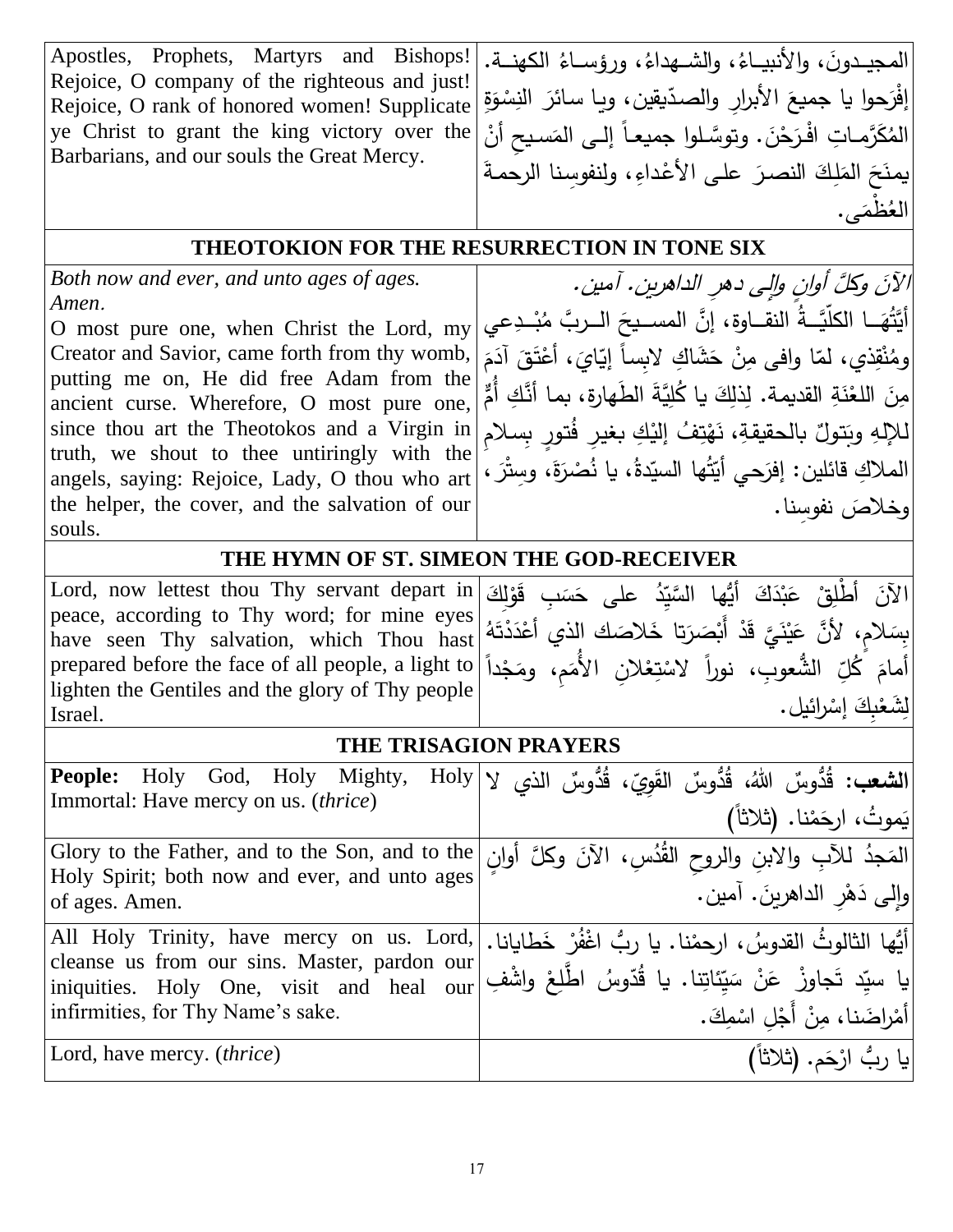| Apostles, Prophets, Martyrs and Bishops!<br>Rejoice, O company of the righteous and just! | المجيـدونَ، والأنبيــاءُ، والشــهداءُ، ورؤســاءُ الكهنــة.                              |
|-------------------------------------------------------------------------------------------|-----------------------------------------------------------------------------------------|
| Rejoice, O rank of honored women! Supplicate                                              | إفْرَحوا يا جميعَ الأبرار والصدّيقين، ويا سائرَ النِسْوَةِ                              |
| ye Christ to grant the king victory over the                                              | المُكَرَّماتِ افْرَحْنَ. وتوسَّلوا جميعـاً إلـى المَسيح أنْ                             |
| Barbarians, and our souls the Great Mercy.                                                | يمنَحَ المَلِكَ النصرَ على الأعْداءِ، ولنفوسنا الرحمةَ                                  |
|                                                                                           | العُظْمَے .                                                                             |
| <b>THEOTOKION FOR THE RESURRECTION IN TONE SIX</b>                                        |                                                                                         |
| Both now and ever, and unto ages of ages.                                                 | الآنَ وكلَّ أوانِ والِي دهرِ الداهرينِ. آمين.                                           |
| Amen.                                                                                     |                                                                                         |
| O most pure one, when Christ the Lord, my                                                 | أَيَّتُهَــا الكلّيَّــةُ النقــاوة، إنَّ المســيحَ الــربَّ مُبْــدِعي                 |
| Creator and Savior, came forth from thy womb,                                             | ومُنْقِذِي، لمّا وافي مِنْ حَشَاكِ لابساً إِيّايَ، أَعْتَقَ آدَمَ                       |
| putting me on, He did free Adam from the<br>ancient curse. Wherefore, O most pure one,    | مِنَ اللغْنَةِ القديمة. لِذلِكَ يا كُلِيَّةَ الطَّهارةِ، بما أَنَّكِ أَمٌّ              |
| since thou art the Theotokos and a Virgin in                                              | للإلهِ وبَتولٌ بالحقيقةِ، نَهْتِفُ إليْكِ بغيرِ فُتورِ بِسلام                           |
| truth, we shout to thee untiringly with the                                               |                                                                                         |
| angels, saying: Rejoice, Lady, O thou who art                                             | الملاكِ قائلين: إفرَحي أيّتُها السيّدةُ، يا نُصْرَةَ، وستْرَ ،                          |
| the helper, the cover, and the salvation of our                                           | وخلاصَ نفوسنا.                                                                          |
| souls.                                                                                    |                                                                                         |
|                                                                                           | THE HYMN OF ST. SIMEON THE GOD-RECEIVER                                                 |
| Lord, now lettest thou Thy servant depart in                                              | الآنَ أَطْلِقْ عَبْدَكَ أَيُّها السَّيّدُ على حَسَبٍ قَوْلِكَ                           |
| peace, according to Thy word; for mine eyes<br>have seen Thy salvation, which Thou hast   | بِسَلام، لأَنَّ عَيْنَيَّ قَدْ أَبْصَرَتا خَلاصَك الذي أَعْدَدْتَهُ                     |
| prepared before the face of all people, a light to                                        | إَمامَ كُلِّ الشُّعوبِ، نوراً لاسْتِعْلانِ الأُمَم، ومَجْداً                            |
| lighten the Gentiles and the glory of Thy people                                          |                                                                                         |
| Israel.                                                                                   | لشَّعْبِكَ إِسْرائيل.                                                                   |
|                                                                                           | THE TRISAGION PRAYERS                                                                   |
| <b>People:</b>                                                                            | الشعب: قُدُّوسٌ اللَّهُ، قُدُّوسٌ القَوِيّ، قُدُّوسٌ الذي Holy God, Holy Mighty, Holy V |
| Immortal: Have mercy on us. (thrice)                                                      | يَموتُ، ارجَمْنا. (ثلاثاً)                                                              |
| Glory to the Father, and to the Son, and to the                                           | المَجدُ للآبِ والابنِ والروحِ القُدُسِ، الآنَ وكلَّ أوانٍ                               |
| Holy Spirit; both now and ever, and unto ages                                             | والِمى دَهْرِ الداهريِنَ. آمين.                                                         |
| of ages. Amen.                                                                            |                                                                                         |
| All Holy Trinity, have mercy on us. Lord,<br>cleanse us from our sins. Master, pardon our | إِلَيْها الثالوثُ القدوسُ، ارحمْنا. يا ربُّ اغْفُرْ خَطايانا.                           |
| iniquities. Holy One, visit and heal our                                                  | يا سيِّد تَجاوزْ عَنْ سَيِّئاتِنا. يا قُدّوسُ اطّْلِعْ واشْفِ                           |
| infirmities, for Thy Name's sake.                                                         |                                                                                         |
| Lord, have mercy. <i>(thrice)</i>                                                         | أمْراضَنا، مِنْ أَجْلِ اسْمِكَ.<br>يا ربُّ ارْحَم. (ثلاثاً)                             |
|                                                                                           |                                                                                         |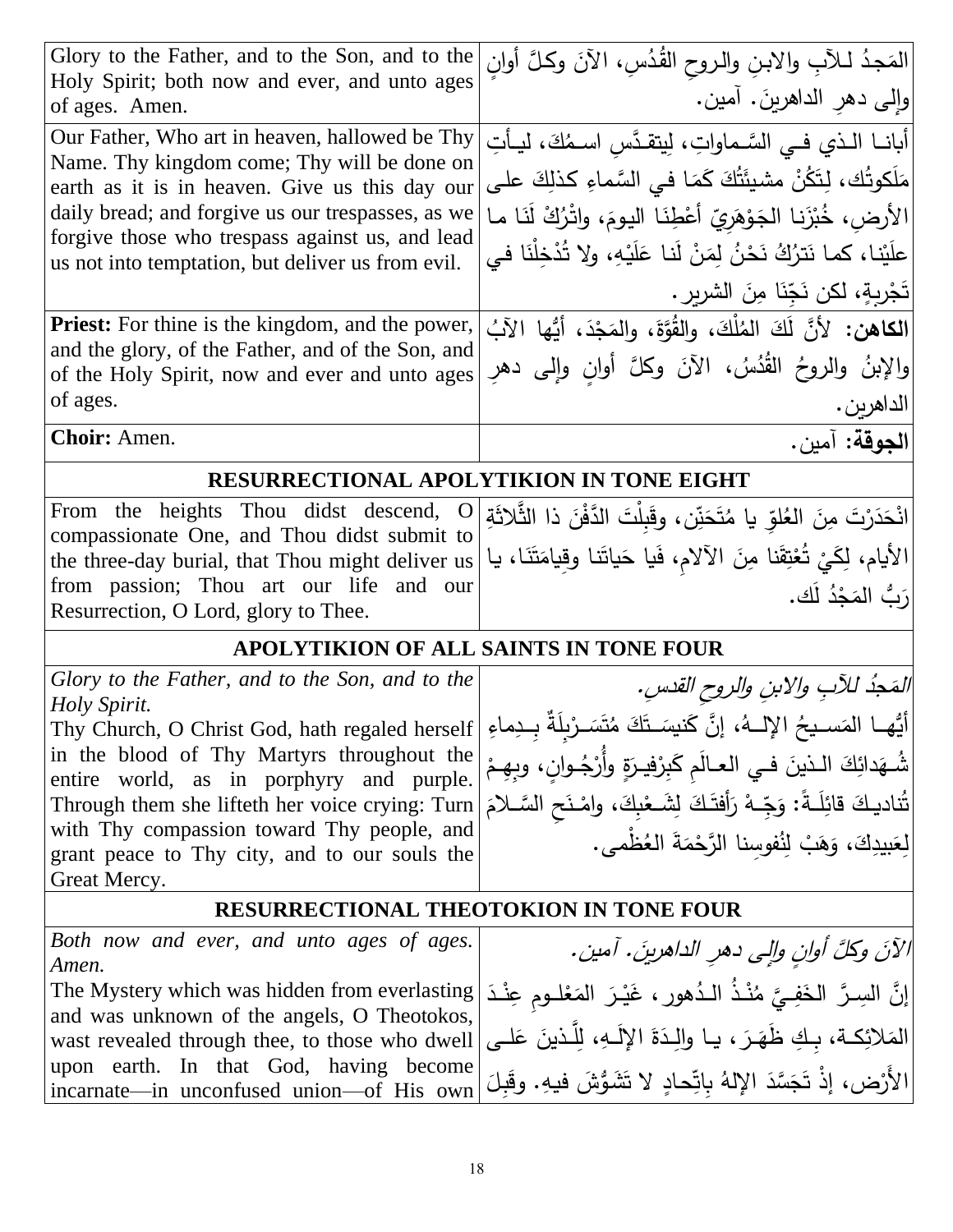| Glory to the Father, and to the Son, and to the<br>Holy Spirit; both now and ever, and unto ages             | المَجدُ لـلآبِ والابنِ والروح القُدُسِ، الآنَ وكلَّ أولَن                                                                |
|--------------------------------------------------------------------------------------------------------------|--------------------------------------------------------------------------------------------------------------------------|
| of ages. Amen.                                                                                               | وإلى دهر الداهرينَ. آمين.                                                                                                |
| Our Father, Who art in heaven, hallowed be Thy                                                               | أبانــا الــذي فــى السَّــماواتِ، لِيتقـدَّسِ اســمُكَ، ليــأتِ                                                         |
| Name. Thy kingdom come; Thy will be done on<br>earth as it is in heaven. Give us this day our                | مَلَكوتُك، لِتَكُنْ مشيئَتُكَ كَمَـا فـى السَّماءِ كذلِكَ علـى                                                           |
| daily bread; and forgive us our trespasses, as we                                                            | الأرض، خُبْزَنا الجَوْهَريّ أَعْطِنَا اليومَ، واتْرُكْ لَنَا ما                                                          |
| forgive those who trespass against us, and lead                                                              | علَيْنا، كما نَترُكُ نَحْنُ لِمَنْ لَنا عَلَيْهِ، ولا تُدْخِلْنَا في                                                     |
| us not into temptation, but deliver us from evil.                                                            |                                                                                                                          |
|                                                                                                              | تَجْرِبِةٍ، لكن نَجِّنَا مِنَ الشريرِ .                                                                                  |
| <b>Priest:</b> For thine is the kingdom, and the power,<br>and the glory, of the Father, and of the Son, and | ا <b>لكاهن:</b> لأنَّ لَكَ المُلْكَ، والقُوَّةَ، والمَجْدَ، أيُّها الآبُ                                                 |
| of the Holy Spirit, now and ever and unto ages                                                               | والإبنُ والروحُ القُدُسُ، الآنَ وكلَّ أوانِ وإلى دهرِ                                                                    |
| of ages.                                                                                                     | الداهرين.                                                                                                                |
| Choir: Amen.                                                                                                 | الجوقة: آمين.                                                                                                            |
| RESURRECTIONAL APOLYTIKION IN TONE EIGHT                                                                     |                                                                                                                          |
| From the heights Thou didst descend, O                                                                       | انْحَدَرْتَ مِنَ العُلوِّ يا مُتَحَنِّن، وقَبِلْتَ الدَّفْنَ ذا الثَّلاثَةِ                                              |
| compassionate One, and Thou didst submit to<br>the three-day burial, that Thou might deliver us              | الأيام، لِكَيْ تُعْتِقَنا مِنَ الآلام، فَيا حَياتَنا وقِيامَتَنَا، يا                                                    |
| from passion; Thou art our life and our                                                                      | رَبُّ المَجْدُ لَك.                                                                                                      |
| Resurrection, O Lord, glory to Thee.                                                                         |                                                                                                                          |
|                                                                                                              | APOLYTIKION OF ALL SAINTS IN TONE FOUR                                                                                   |
| Glory to the Father, and to the Son, and to the                                                              | المَحِدُ للآبِ والابنِ والروح القدسِ.                                                                                    |
| Holy Spirit.                                                                                                 | أَيُّهم العَسـيحُ الإلــهُ، إنَّ كَنيسَـتَكَ مُتَسَـرْبِلَةٌ بِــدِماءِ   Thy Church, O Christ God, hath regaled herself |
| in the blood of Thy Martyrs throughout the                                                                   | شُـهَدائِكَ الـذينَ فـي العـالَم كَبِرْفيـرَةٍ وأَرْجُـوانِ، وبِهِـمْ                                                    |
| entire world, as in porphyry and purple.<br>Through them she lifteth her voice crying: Turn                  |                                                                                                                          |
| with Thy compassion toward Thy people, and                                                                   | تُناديكَ قائِلَـةً: وَجِّـهْ رَأَفتَـكَ لِشَـعْبِكَ، وامْـنَحِ السَّـلامَ                                                |
| grant peace to Thy city, and to our souls the                                                                | لِعَبِيدِكَ، وَهَبْ لِنُفوسِنا الرَّحْمَةَ العُظْمى.                                                                     |
| Great Mercy.                                                                                                 |                                                                                                                          |
| RESURRECTIONAL THEOTOKION IN TONE FOUR                                                                       |                                                                                                                          |
| Both now and ever, and unto ages of ages.                                                                    | الآنَ وكلَّ أوانٍ وإلى دهرِ الداهرينَ. آمين.                                                                             |
| Amen.<br>The Mystery which was hidden from everlasting                                                       | إِنَّ السِـرَّ الخَفِـيَّ مُنْـذُ الـدُهورِ ، غَيْـرَ المَعْلـومِ عِنْـدَ                                                |
| and was unknown of the angels, O Theotokos,                                                                  |                                                                                                                          |
| wast revealed through thee, to those who dwell                                                               | المَلائِكــة، بـكِ ظَهَـرَ ، يـا والِـدَةَ الإِلَــهِ، لِلَّـذينَ عَلــى                                                 |
| upon earth. In that God, having become<br>incarnate—in unconfused union—of His own                           | الأَرْض، إذْ تَجَسَّدَ الإِلهُ باتِّحادٍ لا تَشَوُّشَ فيهِ. وقَبلَ                                                       |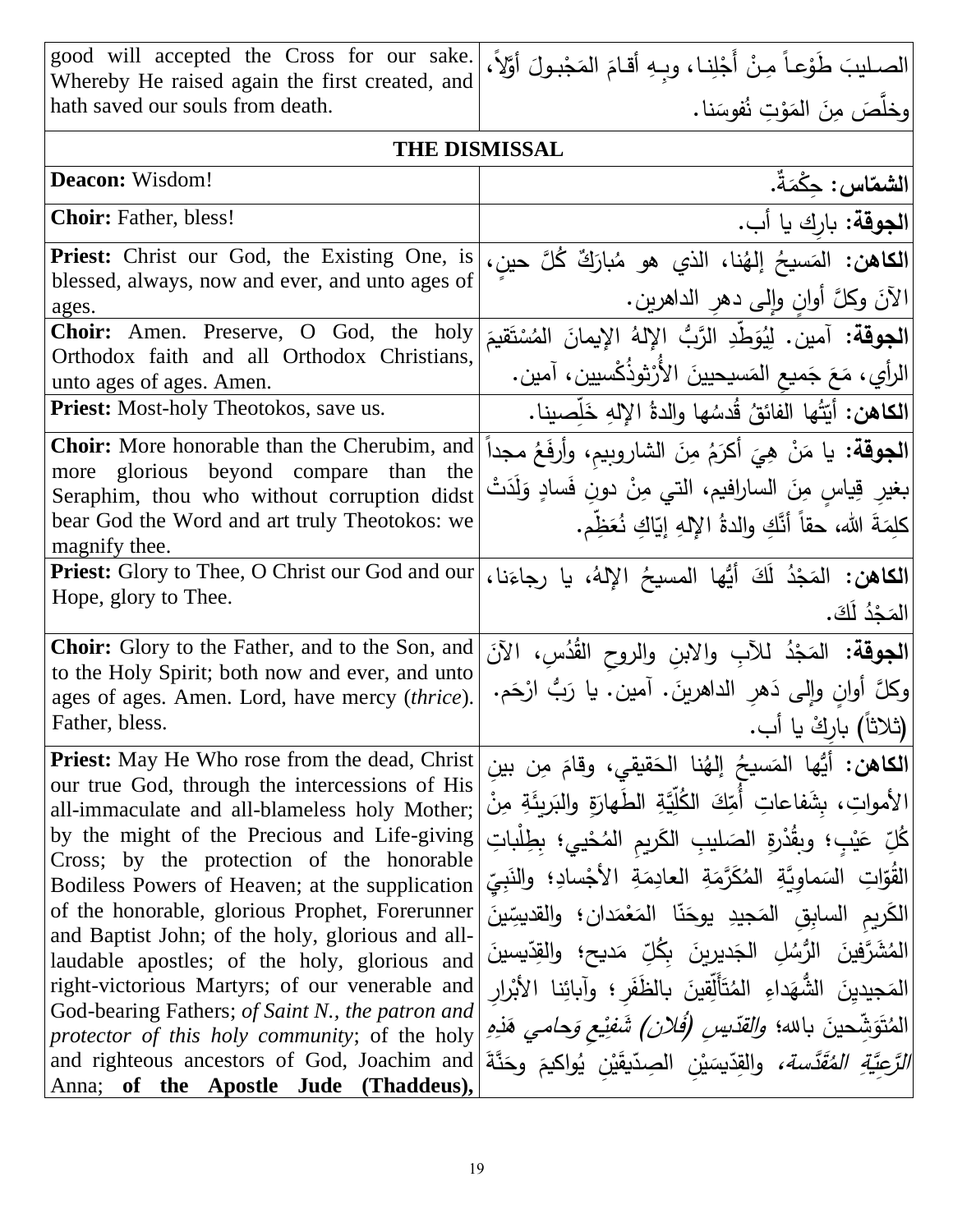| good will accepted the Cross for our sake.                                                                                                                                                                                                                                                                                                                                                                                                                                                                                                                                                                                                                   | الصـليبَ طَوْعـاً مِنْ أَجْلِنـا، وبِهِ أقـامَ المَجْبـولَ أَوَّلاً،                                                                                                                                                                                                                                                                                                                                                                                                                                                                                                                                                                                                                         |
|--------------------------------------------------------------------------------------------------------------------------------------------------------------------------------------------------------------------------------------------------------------------------------------------------------------------------------------------------------------------------------------------------------------------------------------------------------------------------------------------------------------------------------------------------------------------------------------------------------------------------------------------------------------|----------------------------------------------------------------------------------------------------------------------------------------------------------------------------------------------------------------------------------------------------------------------------------------------------------------------------------------------------------------------------------------------------------------------------------------------------------------------------------------------------------------------------------------------------------------------------------------------------------------------------------------------------------------------------------------------|
| Whereby He raised again the first created, and<br>hath saved our souls from death.                                                                                                                                                                                                                                                                                                                                                                                                                                                                                                                                                                           | وخلَّصَ مِنَ المَوْتِ نُفوسَنا.                                                                                                                                                                                                                                                                                                                                                                                                                                                                                                                                                                                                                                                              |
| <b>THE DISMISSAL</b>                                                                                                                                                                                                                                                                                                                                                                                                                                                                                                                                                                                                                                         |                                                                                                                                                                                                                                                                                                                                                                                                                                                                                                                                                                                                                                                                                              |
| Deacon: Wisdom!                                                                                                                                                                                                                                                                                                                                                                                                                                                                                                                                                                                                                                              | الشماس: حكْمَةٌ.                                                                                                                                                                                                                                                                                                                                                                                                                                                                                                                                                                                                                                                                             |
| <b>Choir:</b> Father, bless!                                                                                                                                                                                                                                                                                                                                                                                                                                                                                                                                                                                                                                 | ا <b>لجوقة:</b> بارك يا أب.                                                                                                                                                                                                                                                                                                                                                                                                                                                                                                                                                                                                                                                                  |
| Priest: Christ our God, the Existing One, is<br>blessed, always, now and ever, and unto ages of<br>ages.                                                                                                                                                                                                                                                                                                                                                                                                                                                                                                                                                     | ا <b>لكاهن:</b> المَسيحُ إلهُنا، الذي هو مُبارَكٌ كُلَّ حينِ،<br>الآنَ وكلَّ أوانِ وإلى دهرِ الداهرينِ.                                                                                                                                                                                                                                                                                                                                                                                                                                                                                                                                                                                      |
| <b>Choir:</b> Amen. Preserve, O God, the holy<br>Orthodox faith and all Orthodox Christians,<br>unto ages of ages. Amen.                                                                                                                                                                                                                                                                                                                                                                                                                                                                                                                                     | <b>الجوقة:</b> آمين. لِيُوَطِّدِ الرَّبُّ الإِلهُ الإِيمانَ المُسْتَقيمَ<br>الرأي، مَعَ جَميع المَسيحيينَ الأُرْثوذُكْسيين، آمين.                                                                                                                                                                                                                                                                                                                                                                                                                                                                                                                                                            |
| <b>Priest:</b> Most-holy Theotokos, save us.                                                                                                                                                                                                                                                                                                                                                                                                                                                                                                                                                                                                                 | ا <b>لكاهن:</b> أيّتُها الفائقُ قُدسُها والدةُ الإلهِ خَلِّصينا.                                                                                                                                                                                                                                                                                                                                                                                                                                                                                                                                                                                                                             |
| <b>Choir:</b> More honorable than the Cherubim, and<br>more glorious beyond compare than the<br>Seraphim, thou who without corruption didst<br>bear God the Word and art truly Theotokos: we<br>magnify thee.                                                                                                                                                                                                                                                                                                                                                                                                                                                | ا <b>لجوقة:</b> يا مَنْ هِيَ أكرَمُ مِنَ الشاروبِيم، وأرفَعُ مجداً<br>بغيرِ قِياسِ مِنَ السارافيم، التي مِنْ دونِ فَسادٍ وَلَدَتْ<br>كلمَةَ الله، حقاً أنَّكِ والدةُ اﻹلهِ إيّاكِ نُعَظِّم.                                                                                                                                                                                                                                                                                                                                                                                                                                                                                                  |
| <b>Priest:</b> Glory to Thee, O Christ our God and our<br>Hope, glory to Thee.                                                                                                                                                                                                                                                                                                                                                                                                                                                                                                                                                                               | ا <b>لكاهن:</b> المَجْدُ لَكَ أَيُّها المسيحُ الإِلهُ، يا رجاءَنا،<br>الْمَجْدُ لَٰكَ.                                                                                                                                                                                                                                                                                                                                                                                                                                                                                                                                                                                                       |
| <b>Choir:</b> Glory to the Father, and to the Son, and<br>to the Holy Spirit; both now and ever, and unto<br>ages of ages. Amen. Lord, have mercy (thrice).<br>Father, bless.                                                                                                                                                                                                                                                                                                                                                                                                                                                                                | <b>الجوقة:</b> المَجْدُ للأَبِ والابنِ والروح القُدُسِ، الآنَ<br>وكلَّ أُوانِ وإلى دَهرِ الداهرينَ. آمين. يا رَبُّ ارْحَم.<br>(ثلاثاً) باركْ يا أب.                                                                                                                                                                                                                                                                                                                                                                                                                                                                                                                                          |
| <b>Priest:</b> May He Who rose from the dead, Christ<br>our true God, through the intercessions of His<br>all-immaculate and all-blameless holy Mother;<br>by the might of the Precious and Life-giving<br>Cross; by the protection of the honorable<br>Bodiless Powers of Heaven; at the supplication<br>of the honorable, glorious Prophet, Forerunner<br>and Baptist John; of the holy, glorious and all-<br>laudable apostles; of the holy, glorious and<br>right-victorious Martyrs; of our venerable and<br>God-bearing Fathers; of Saint N., the patron and<br>protector of this holy community; of the holy<br>Anna; of the Apostle Jude (Thaddeus), | ا <b>لكاهن:</b> أيُّها المَسيحُ إلهُنا الحَقيقي، وقامَ مِن بين<br>الأمواتِ، بشَفاعاتِ أَمِّكَ الْكُلِّيَّةِ الطِّهارَةِ والبَربِئَةِ مِنْ<br>كُلِّ عَيْبٍ؛ وبِقُدْرِةِ الصَليبِ الكَرِيمِ المُحْيي؛ بِطِلْباتِ<br>القُوّاتِ السَماوِيَّةِ المُكَرَّمَةِ العادِمَةِ الأَجْسادِ؛ والنَبِيِّ<br>الكَريمِ السابقِ المَجيدِ يوحَنّا المَعْمَدانِ؛ والقديسِّينَ<br>الْمُشَرَّفِينَ الرُّسُلِ الْجَديرِينَ بِكُلِّ مَديحِ؛ والقِدِّيسينَ<br>المَجيدينَ الشُّهَداءِ المُتَأَلِّقِينَ بِالظَّفَرِ ؛ وآبائِنا الأَبْرار<br>المُتَوَشِّحينَ بالله؛ <i>والقدّيسِ (فُلان) شَفِيْعِ وَحامي هَذِهِ</i><br>and righteous ancestors of God, Joachim and وَحَذَّةَ and righteous ancestors of God, Joachim and |